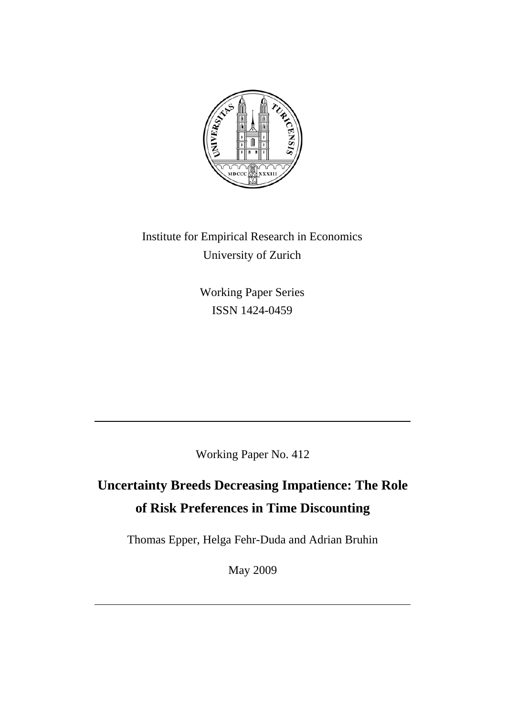

Institute for Empirical Research in Economics University of Zurich

> Working Paper Series ISSN 1424-0459

Working Paper No. 412

# **Uncertainty Breeds Decreasing Impatience: The Role of Risk Preferences in Time Discounting**

Thomas Epper, Helga Fehr-Duda and Adrian Bruhin

May 2009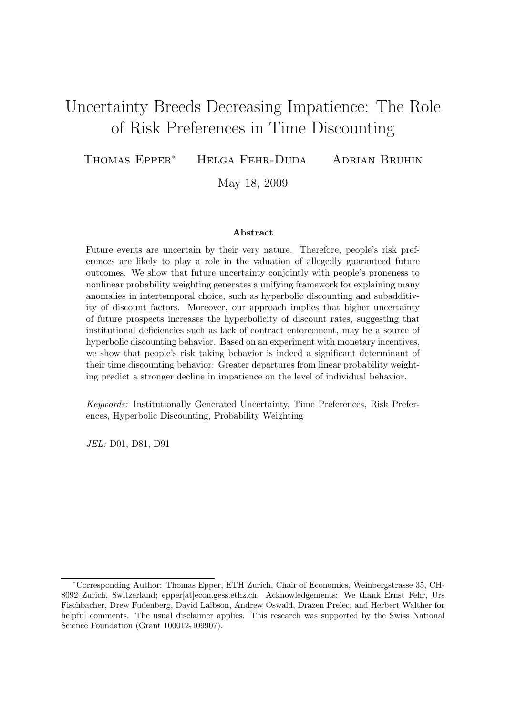## Uncertainty Breeds Decreasing Impatience: The Role of Risk Preferences in Time Discounting

Thomas Epper<sup>∗</sup> Helga Fehr-Duda Adrian Bruhin

May 18, 2009

#### Abstract

Future events are uncertain by their very nature. Therefore, people's risk preferences are likely to play a role in the valuation of allegedly guaranteed future outcomes. We show that future uncertainty conjointly with people's proneness to nonlinear probability weighting generates a unifying framework for explaining many anomalies in intertemporal choice, such as hyperbolic discounting and subadditivity of discount factors. Moreover, our approach implies that higher uncertainty of future prospects increases the hyperbolicity of discount rates, suggesting that institutional deficiencies such as lack of contract enforcement, may be a source of hyperbolic discounting behavior. Based on an experiment with monetary incentives, we show that people's risk taking behavior is indeed a significant determinant of their time discounting behavior: Greater departures from linear probability weighting predict a stronger decline in impatience on the level of individual behavior.

Keywords: Institutionally Generated Uncertainty, Time Preferences, Risk Preferences, Hyperbolic Discounting, Probability Weighting

JEL: D01, D81, D91

<sup>∗</sup>Corresponding Author: Thomas Epper, ETH Zurich, Chair of Economics, Weinbergstrasse 35, CH-8092 Zurich, Switzerland; epper[at]econ.gess.ethz.ch. Acknowledgements: We thank Ernst Fehr, Urs Fischbacher, Drew Fudenberg, David Laibson, Andrew Oswald, Drazen Prelec, and Herbert Walther for helpful comments. The usual disclaimer applies. This research was supported by the Swiss National Science Foundation (Grant 100012-109907).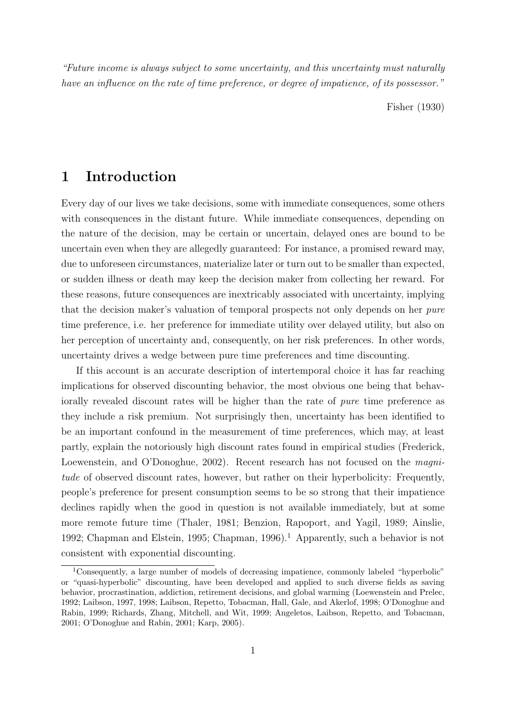"Future income is always subject to some uncertainty, and this uncertainty must naturally have an influence on the rate of time preference, or degree of impatience, of its possessor."

Fisher (1930)

### 1 Introduction

Every day of our lives we take decisions, some with immediate consequences, some others with consequences in the distant future. While immediate consequences, depending on the nature of the decision, may be certain or uncertain, delayed ones are bound to be uncertain even when they are allegedly guaranteed: For instance, a promised reward may, due to unforeseen circumstances, materialize later or turn out to be smaller than expected, or sudden illness or death may keep the decision maker from collecting her reward. For these reasons, future consequences are inextricably associated with uncertainty, implying that the decision maker's valuation of temporal prospects not only depends on her pure time preference, i.e. her preference for immediate utility over delayed utility, but also on her perception of uncertainty and, consequently, on her risk preferences. In other words, uncertainty drives a wedge between pure time preferences and time discounting.

If this account is an accurate description of intertemporal choice it has far reaching implications for observed discounting behavior, the most obvious one being that behaviorally revealed discount rates will be higher than the rate of pure time preference as they include a risk premium. Not surprisingly then, uncertainty has been identified to be an important confound in the measurement of time preferences, which may, at least partly, explain the notoriously high discount rates found in empirical studies (Frederick, Loewenstein, and O'Donoghue, 2002). Recent research has not focused on the *magni*tude of observed discount rates, however, but rather on their hyperbolicity: Frequently, people's preference for present consumption seems to be so strong that their impatience declines rapidly when the good in question is not available immediately, but at some more remote future time (Thaler, 1981; Benzion, Rapoport, and Yagil, 1989; Ainslie, 1992; Chapman and Elstein, 1995; Chapman, 1996).<sup>1</sup> Apparently, such a behavior is not consistent with exponential discounting.

<sup>&</sup>lt;sup>1</sup>Consequently, a large number of models of decreasing impatience, commonly labeled "hyperbolic" or "quasi-hyperbolic" discounting, have been developed and applied to such diverse fields as saving behavior, procrastination, addiction, retirement decisions, and global warming (Loewenstein and Prelec, 1992; Laibson, 1997, 1998; Laibson, Repetto, Tobacman, Hall, Gale, and Akerlof, 1998; O'Donoghue and Rabin, 1999; Richards, Zhang, Mitchell, and Wit, 1999; Angeletos, Laibson, Repetto, and Tobacman, 2001; O'Donoghue and Rabin, 2001; Karp, 2005).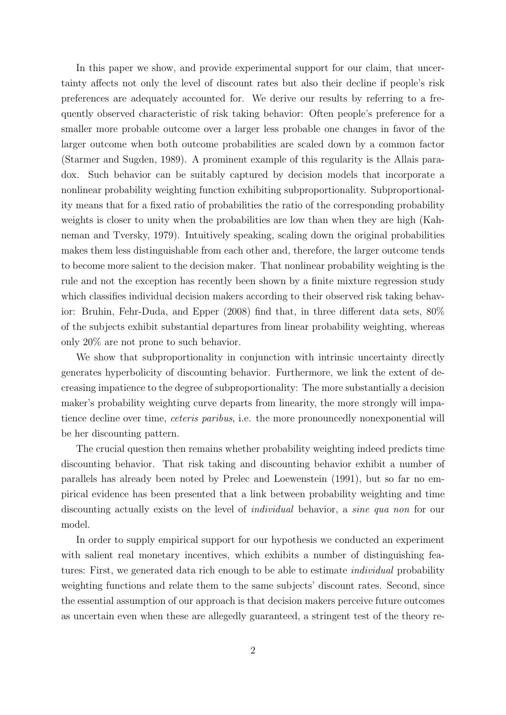In this paper we show, and provide experimental support for our claim, that uncertainty affects not only the level of discount rates but also their decline if people's risk preferences are adequately accounted for. We derive our results by referring to a frequently observed characteristic of risk taking behavior: Often people's preference for a smaller more probable outcome over a larger less probable one changes in favor of the larger outcome when both outcome probabilities are scaled down by a common factor (Starmer and Sugden, 1989). A prominent example of this regularity is the Allais paradox. Such behavior can be suitably captured by decision models that incorporate a nonlinear probability weighting function exhibiting subproportionality. Subproportionality means that for a fixed ratio of probabilities the ratio of the corresponding probability weights is closer to unity when the probabilities are low than when they are high (Kahneman and Tversky, 1979). Intuitively speaking, scaling down the original probabilities makes them less distinguishable from each other and, therefore, the larger outcome tends to become more salient to the decision maker. That nonlinear probability weighting is the rule and not the exception has recently been shown by a finite mixture regression study which classifies individual decision makers according to their observed risk taking behavior: Bruhin, Fehr-Duda, and Epper (2008) find that, in three different data sets, 80% of the subjects exhibit substantial departures from linear probability weighting, whereas only 20% are not prone to such behavior.

We show that subproportionality in conjunction with intrinsic uncertainty directly generates hyperbolicity of discounting behavior. Furthermore, we link the extent of decreasing impatience to the degree of subproportionality: The more substantially a decision maker's probability weighting curve departs from linearity, the more strongly will impatience decline over time, ceteris paribus, i.e. the more pronouncedly nonexponential will be her discounting pattern.

The crucial question then remains whether probability weighting indeed predicts time discounting behavior. That risk taking and discounting behavior exhibit a number of parallels has already been noted by Prelec and Loewenstein (1991), but so far no empirical evidence has been presented that a link between probability weighting and time discounting actually exists on the level of individual behavior, a sine qua non for our model.

In order to supply empirical support for our hypothesis we conducted an experiment with salient real monetary incentives, which exhibits a number of distinguishing features: First, we generated data rich enough to be able to estimate *individual* probability weighting functions and relate them to the same subjects' discount rates. Second, since the essential assumption of our approach is that decision makers perceive future outcomes as uncertain even when these are allegedly guaranteed, a stringent test of the theory re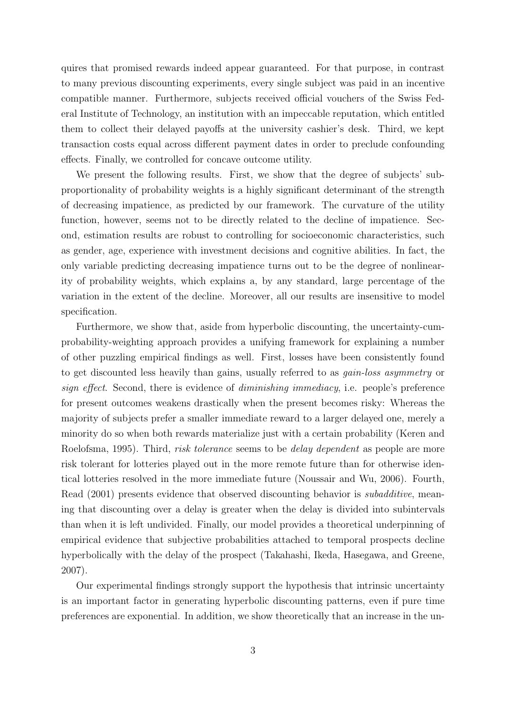quires that promised rewards indeed appear guaranteed. For that purpose, in contrast to many previous discounting experiments, every single subject was paid in an incentive compatible manner. Furthermore, subjects received official vouchers of the Swiss Federal Institute of Technology, an institution with an impeccable reputation, which entitled them to collect their delayed payoffs at the university cashier's desk. Third, we kept transaction costs equal across different payment dates in order to preclude confounding effects. Finally, we controlled for concave outcome utility.

We present the following results. First, we show that the degree of subjects' subproportionality of probability weights is a highly significant determinant of the strength of decreasing impatience, as predicted by our framework. The curvature of the utility function, however, seems not to be directly related to the decline of impatience. Second, estimation results are robust to controlling for socioeconomic characteristics, such as gender, age, experience with investment decisions and cognitive abilities. In fact, the only variable predicting decreasing impatience turns out to be the degree of nonlinearity of probability weights, which explains a, by any standard, large percentage of the variation in the extent of the decline. Moreover, all our results are insensitive to model specification.

Furthermore, we show that, aside from hyperbolic discounting, the uncertainty-cumprobability-weighting approach provides a unifying framework for explaining a number of other puzzling empirical findings as well. First, losses have been consistently found to get discounted less heavily than gains, usually referred to as gain-loss asymmetry or sign effect. Second, there is evidence of diminishing immediacy, i.e. people's preference for present outcomes weakens drastically when the present becomes risky: Whereas the majority of subjects prefer a smaller immediate reward to a larger delayed one, merely a minority do so when both rewards materialize just with a certain probability (Keren and Roelofsma, 1995). Third, *risk tolerance* seems to be *delay dependent* as people are more risk tolerant for lotteries played out in the more remote future than for otherwise identical lotteries resolved in the more immediate future (Noussair and Wu, 2006). Fourth, Read (2001) presents evidence that observed discounting behavior is *subadditive*, meaning that discounting over a delay is greater when the delay is divided into subintervals than when it is left undivided. Finally, our model provides a theoretical underpinning of empirical evidence that subjective probabilities attached to temporal prospects decline hyperbolically with the delay of the prospect (Takahashi, Ikeda, Hasegawa, and Greene, 2007).

Our experimental findings strongly support the hypothesis that intrinsic uncertainty is an important factor in generating hyperbolic discounting patterns, even if pure time preferences are exponential. In addition, we show theoretically that an increase in the un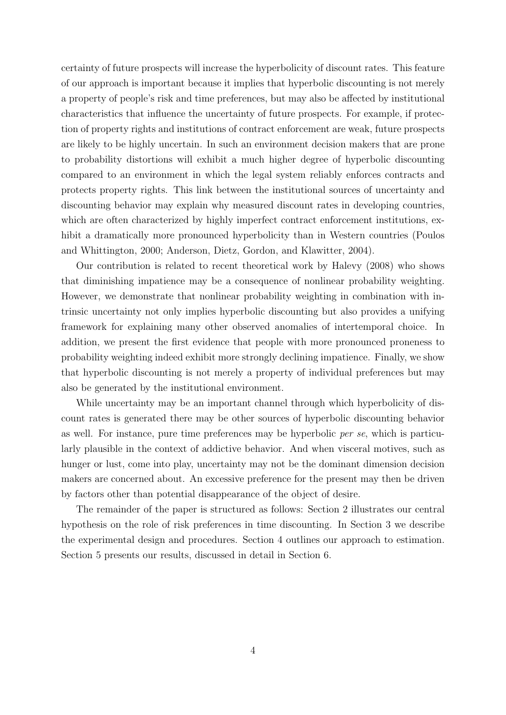certainty of future prospects will increase the hyperbolicity of discount rates. This feature of our approach is important because it implies that hyperbolic discounting is not merely a property of people's risk and time preferences, but may also be affected by institutional characteristics that influence the uncertainty of future prospects. For example, if protection of property rights and institutions of contract enforcement are weak, future prospects are likely to be highly uncertain. In such an environment decision makers that are prone to probability distortions will exhibit a much higher degree of hyperbolic discounting compared to an environment in which the legal system reliably enforces contracts and protects property rights. This link between the institutional sources of uncertainty and discounting behavior may explain why measured discount rates in developing countries, which are often characterized by highly imperfect contract enforcement institutions, exhibit a dramatically more pronounced hyperbolicity than in Western countries (Poulos and Whittington, 2000; Anderson, Dietz, Gordon, and Klawitter, 2004).

Our contribution is related to recent theoretical work by Halevy (2008) who shows that diminishing impatience may be a consequence of nonlinear probability weighting. However, we demonstrate that nonlinear probability weighting in combination with intrinsic uncertainty not only implies hyperbolic discounting but also provides a unifying framework for explaining many other observed anomalies of intertemporal choice. In addition, we present the first evidence that people with more pronounced proneness to probability weighting indeed exhibit more strongly declining impatience. Finally, we show that hyperbolic discounting is not merely a property of individual preferences but may also be generated by the institutional environment.

While uncertainty may be an important channel through which hyperbolicity of discount rates is generated there may be other sources of hyperbolic discounting behavior as well. For instance, pure time preferences may be hyperbolic per se, which is particularly plausible in the context of addictive behavior. And when visceral motives, such as hunger or lust, come into play, uncertainty may not be the dominant dimension decision makers are concerned about. An excessive preference for the present may then be driven by factors other than potential disappearance of the object of desire.

The remainder of the paper is structured as follows: Section 2 illustrates our central hypothesis on the role of risk preferences in time discounting. In Section 3 we describe the experimental design and procedures. Section 4 outlines our approach to estimation. Section 5 presents our results, discussed in detail in Section 6.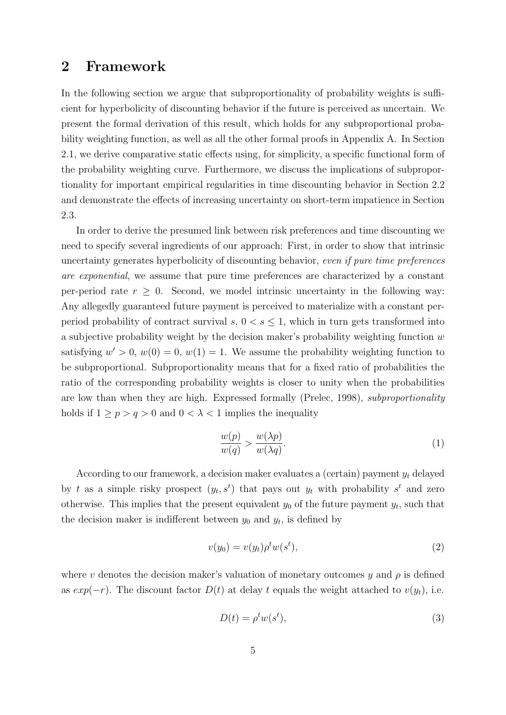## 2 Framework

In the following section we argue that subproportionality of probability weights is sufficient for hyperbolicity of discounting behavior if the future is perceived as uncertain. We present the formal derivation of this result, which holds for any subproportional probability weighting function, as well as all the other formal proofs in Appendix A. In Section 2.1, we derive comparative static effects using, for simplicity, a specific functional form of the probability weighting curve. Furthermore, we discuss the implications of subproportionality for important empirical regularities in time discounting behavior in Section 2.2 and demonstrate the effects of increasing uncertainty on short-term impatience in Section 2.3.

In order to derive the presumed link between risk preferences and time discounting we need to specify several ingredients of our approach: First, in order to show that intrinsic uncertainty generates hyperbolicity of discounting behavior, even if pure time preferences are exponential, we assume that pure time preferences are characterized by a constant per-period rate  $r \geq 0$ . Second, we model intrinsic uncertainty in the following way: Any allegedly guaranteed future payment is perceived to materialize with a constant perperiod probability of contract survival s,  $0 < s \leq 1$ , which in turn gets transformed into a subjective probability weight by the decision maker's probability weighting function w satisfying  $w' > 0$ ,  $w(0) = 0$ ,  $w(1) = 1$ . We assume the probability weighting function to be subproportional. Subproportionality means that for a fixed ratio of probabilities the ratio of the corresponding probability weights is closer to unity when the probabilities are low than when they are high. Expressed formally (Prelec, 1998), subproportionality holds if  $1 \ge p > q > 0$  and  $0 < \lambda < 1$  implies the inequality

$$
\frac{w(p)}{w(q)} > \frac{w(\lambda p)}{w(\lambda q)}.\tag{1}
$$

According to our framework, a decision maker evaluates a (certain) payment  $y_t$  delayed by t as a simple risky prospect  $(y_t, s^t)$  that pays out  $y_t$  with probability  $s^t$  and zero otherwise. This implies that the present equivalent  $y_0$  of the future payment  $y_t$ , such that the decision maker is indifferent between  $y_0$  and  $y_t$ , is defined by

$$
v(y_0) = v(y_t)\rho^t w(s^t),\tag{2}
$$

where v denotes the decision maker's valuation of monetary outcomes y and  $\rho$  is defined as  $exp(-r)$ . The discount factor  $D(t)$  at delay t equals the weight attached to  $v(y_t)$ , i.e.

$$
D(t) = \rho^t w(s^t),\tag{3}
$$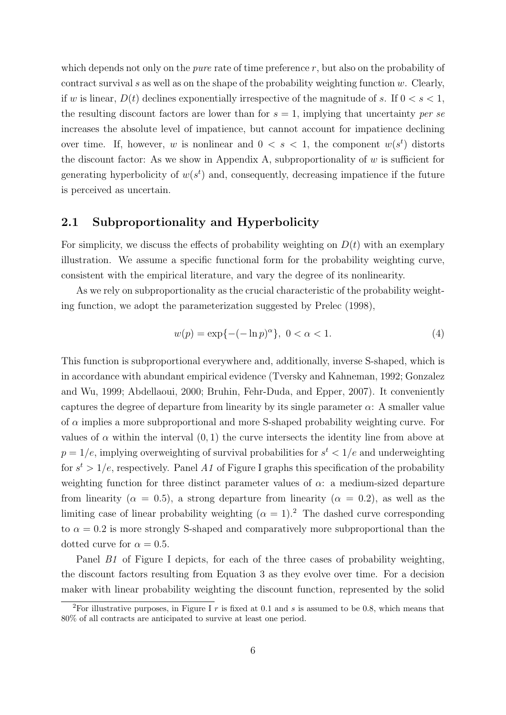which depends not only on the *pure* rate of time preference  $r$ , but also on the probability of contract survival s as well as on the shape of the probability weighting function  $w$ . Clearly, if w is linear,  $D(t)$  declines exponentially irrespective of the magnitude of s. If  $0 < s < 1$ , the resulting discount factors are lower than for  $s = 1$ , implying that uncertainty per se increases the absolute level of impatience, but cannot account for impatience declining over time. If, however, w is nonlinear and  $0 < s < 1$ , the component  $w(s^t)$  distorts the discount factor: As we show in Appendix A, subproportionality of  $w$  is sufficient for generating hyperbolicity of  $w(s^t)$  and, consequently, decreasing impatience if the future is perceived as uncertain.

#### 2.1 Subproportionality and Hyperbolicity

For simplicity, we discuss the effects of probability weighting on  $D(t)$  with an exemplary illustration. We assume a specific functional form for the probability weighting curve, consistent with the empirical literature, and vary the degree of its nonlinearity.

As we rely on subproportionality as the crucial characteristic of the probability weighting function, we adopt the parameterization suggested by Prelec (1998),

$$
w(p) = \exp\{-(-\ln p)^{\alpha}\}, \ 0 < \alpha < 1. \tag{4}
$$

This function is subproportional everywhere and, additionally, inverse S-shaped, which is in accordance with abundant empirical evidence (Tversky and Kahneman, 1992; Gonzalez and Wu, 1999; Abdellaoui, 2000; Bruhin, Fehr-Duda, and Epper, 2007). It conveniently captures the degree of departure from linearity by its single parameter  $\alpha$ : A smaller value of  $\alpha$  implies a more subproportional and more S-shaped probability weighting curve. For values of  $\alpha$  within the interval  $(0, 1)$  the curve intersects the identity line from above at  $p = 1/e$ , implying overweighting of survival probabilities for  $s<sup>t</sup> < 1/e$  and underweighting for  $s^t > 1/e$ , respectively. Panel A1 of Figure I graphs this specification of the probability weighting function for three distinct parameter values of  $\alpha$ : a medium-sized departure from linearity ( $\alpha = 0.5$ ), a strong departure from linearity ( $\alpha = 0.2$ ), as well as the limiting case of linear probability weighting  $(\alpha = 1)^2$ . The dashed curve corresponding to  $\alpha = 0.2$  is more strongly S-shaped and comparatively more subproportional than the dotted curve for  $\alpha = 0.5$ .

Panel B1 of Figure I depicts, for each of the three cases of probability weighting, the discount factors resulting from Equation 3 as they evolve over time. For a decision maker with linear probability weighting the discount function, represented by the solid

<sup>&</sup>lt;sup>2</sup>For illustrative purposes, in Figure I r is fixed at 0.1 and s is assumed to be 0.8, which means that 80% of all contracts are anticipated to survive at least one period.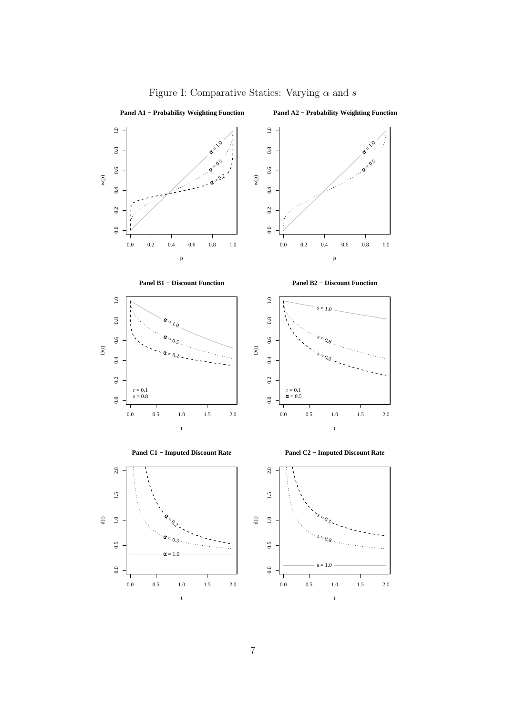

### Figure I: Comparative Statics: Varying  $\alpha$  and  $s$

7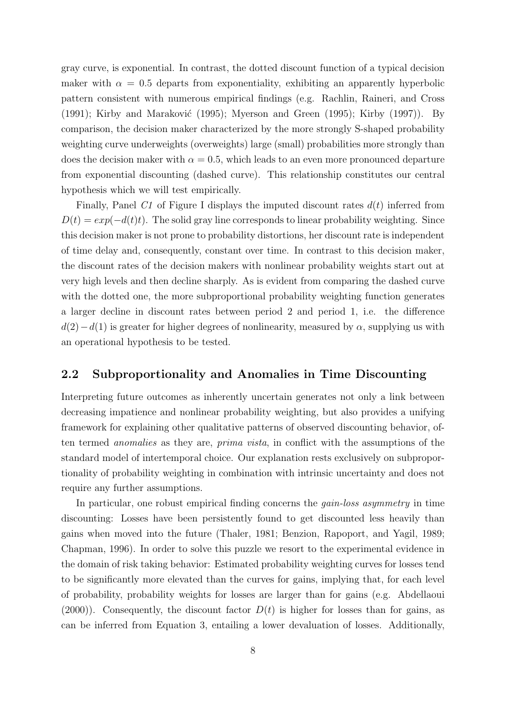gray curve, is exponential. In contrast, the dotted discount function of a typical decision maker with  $\alpha = 0.5$  departs from exponentiality, exhibiting an apparently hyperbolic pattern consistent with numerous empirical findings (e.g. Rachlin, Raineri, and Cross  $(1991)$ ; Kirby and Maraković (1995); Myerson and Green (1995); Kirby (1997)). By comparison, the decision maker characterized by the more strongly S-shaped probability weighting curve underweights (overweights) large (small) probabilities more strongly than does the decision maker with  $\alpha = 0.5$ , which leads to an even more pronounced departure from exponential discounting (dashed curve). This relationship constitutes our central hypothesis which we will test empirically.

Finally, Panel C1 of Figure I displays the imputed discount rates  $d(t)$  inferred from  $D(t) = exp(-d(t)t)$ . The solid gray line corresponds to linear probability weighting. Since this decision maker is not prone to probability distortions, her discount rate is independent of time delay and, consequently, constant over time. In contrast to this decision maker, the discount rates of the decision makers with nonlinear probability weights start out at very high levels and then decline sharply. As is evident from comparing the dashed curve with the dotted one, the more subproportional probability weighting function generates a larger decline in discount rates between period 2 and period 1, i.e. the difference  $d(2)-d(1)$  is greater for higher degrees of nonlinearity, measured by  $\alpha$ , supplying us with an operational hypothesis to be tested.

#### 2.2 Subproportionality and Anomalies in Time Discounting

Interpreting future outcomes as inherently uncertain generates not only a link between decreasing impatience and nonlinear probability weighting, but also provides a unifying framework for explaining other qualitative patterns of observed discounting behavior, often termed anomalies as they are, prima vista, in conflict with the assumptions of the standard model of intertemporal choice. Our explanation rests exclusively on subproportionality of probability weighting in combination with intrinsic uncertainty and does not require any further assumptions.

In particular, one robust empirical finding concerns the *gain-loss asymmetry* in time discounting: Losses have been persistently found to get discounted less heavily than gains when moved into the future (Thaler, 1981; Benzion, Rapoport, and Yagil, 1989; Chapman, 1996). In order to solve this puzzle we resort to the experimental evidence in the domain of risk taking behavior: Estimated probability weighting curves for losses tend to be significantly more elevated than the curves for gains, implying that, for each level of probability, probability weights for losses are larger than for gains (e.g. Abdellaoui  $(2000)$ ). Consequently, the discount factor  $D(t)$  is higher for losses than for gains, as can be inferred from Equation 3, entailing a lower devaluation of losses. Additionally,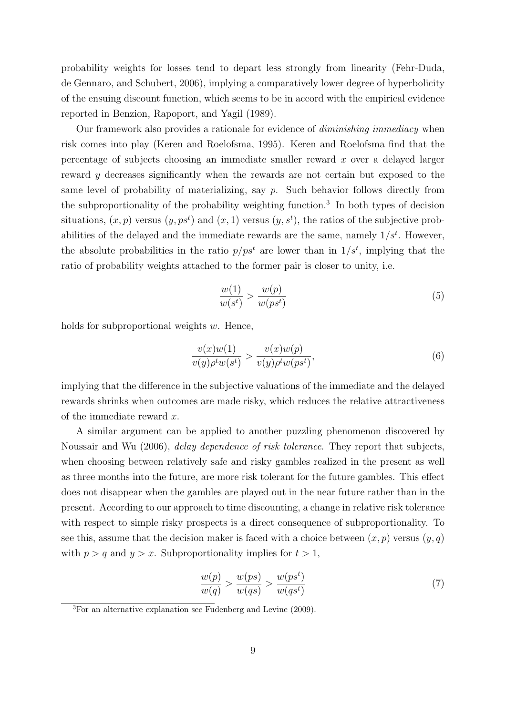probability weights for losses tend to depart less strongly from linearity (Fehr-Duda, de Gennaro, and Schubert, 2006), implying a comparatively lower degree of hyperbolicity of the ensuing discount function, which seems to be in accord with the empirical evidence reported in Benzion, Rapoport, and Yagil (1989).

Our framework also provides a rationale for evidence of diminishing immediacy when risk comes into play (Keren and Roelofsma, 1995). Keren and Roelofsma find that the percentage of subjects choosing an immediate smaller reward x over a delayed larger reward  $\gamma$  decreases significantly when the rewards are not certain but exposed to the same level of probability of materializing, say  $p$ . Such behavior follows directly from the subproportionality of the probability weighting function.<sup>3</sup> In both types of decision situations,  $(x, p)$  versus  $(y, ps<sup>t</sup>)$  and  $(x, 1)$  versus  $(y, s<sup>t</sup>)$ , the ratios of the subjective probabilities of the delayed and the immediate rewards are the same, namely  $1/s<sup>t</sup>$ . However, the absolute probabilities in the ratio  $p/ps<sup>t</sup>$  are lower than in  $1/s<sup>t</sup>$ , implying that the ratio of probability weights attached to the former pair is closer to unity, i.e.

$$
\frac{w(1)}{w(s^t)} > \frac{w(p)}{w(ps^t)}\tag{5}
$$

holds for subproportional weights  $w$ . Hence,

$$
\frac{v(x)w(1)}{v(y)\rho^t w(s^t)} > \frac{v(x)w(p)}{v(y)\rho^t w(ps^t)},\tag{6}
$$

implying that the difference in the subjective valuations of the immediate and the delayed rewards shrinks when outcomes are made risky, which reduces the relative attractiveness of the immediate reward x.

A similar argument can be applied to another puzzling phenomenon discovered by Noussair and Wu (2006), delay dependence of risk tolerance. They report that subjects, when choosing between relatively safe and risky gambles realized in the present as well as three months into the future, are more risk tolerant for the future gambles. This effect does not disappear when the gambles are played out in the near future rather than in the present. According to our approach to time discounting, a change in relative risk tolerance with respect to simple risky prospects is a direct consequence of subproportionality. To see this, assume that the decision maker is faced with a choice between  $(x, p)$  versus  $(y, q)$ with  $p > q$  and  $y > x$ . Subproportionality implies for  $t > 1$ ,

$$
\frac{w(p)}{w(q)} > \frac{w(ps)}{w(qs)} > \frac{w(ps^t)}{w(qs^t)}\tag{7}
$$

 ${}^{3}$ For an alternative explanation see Fudenberg and Levine (2009).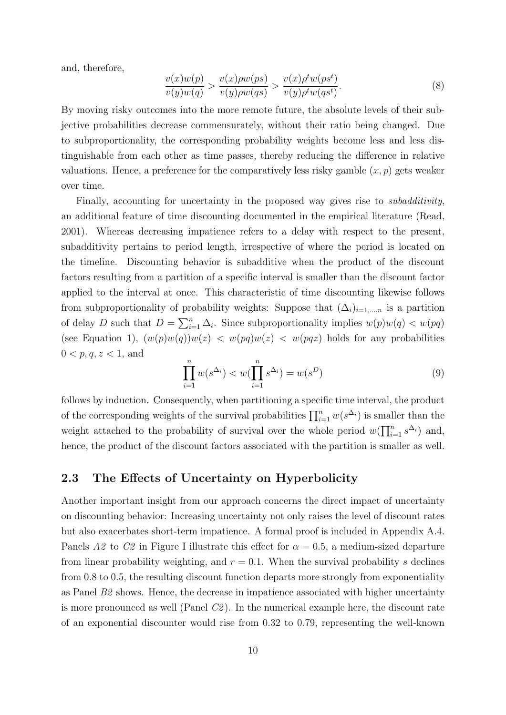and, therefore,

$$
\frac{v(x)w(p)}{v(y)w(q)} > \frac{v(x)\rho w(ps)}{v(y)\rho w(qs)} > \frac{v(x)\rho^t w(ps^t)}{v(y)\rho^t w(qs^t)}.
$$
\n(8)

By moving risky outcomes into the more remote future, the absolute levels of their subjective probabilities decrease commensurately, without their ratio being changed. Due to subproportionality, the corresponding probability weights become less and less distinguishable from each other as time passes, thereby reducing the difference in relative valuations. Hence, a preference for the comparatively less risky gamble  $(x, p)$  gets weaker over time.

Finally, accounting for uncertainty in the proposed way gives rise to *subadditivity*, an additional feature of time discounting documented in the empirical literature (Read, 2001). Whereas decreasing impatience refers to a delay with respect to the present, subadditivity pertains to period length, irrespective of where the period is located on the timeline. Discounting behavior is subadditive when the product of the discount factors resulting from a partition of a specific interval is smaller than the discount factor applied to the interval at once. This characteristic of time discounting likewise follows from subproportionality of probability weights: Suppose that  $(\Delta_i)_{i=1,\dots,n}$  is a partition of delay D such that  $D = \sum_{i=1}^{n} \Delta_i$ . Since subproportionality implies  $w(p)w(q) < w(pq)$ (see Equation 1),  $(w(p)w(q))w(z) < w(pq)w(z) < w(pqz)$  holds for any probabilities  $0 < p, q, z < 1$ , and

$$
\prod_{i=1}^{n} w(s^{\Delta_i}) < w(\prod_{i=1}^{n} s^{\Delta_i}) = w(s^D) \tag{9}
$$

follows by induction. Consequently, when partitioning a specific time interval, the product of the corresponding weights of the survival probabilities  $\prod_{i=1}^{n} w(s^{\Delta_i})$  is smaller than the weight attached to the probability of survival over the whole period  $w(\prod_{i=1}^n s^{\Delta_i})$  and, hence, the product of the discount factors associated with the partition is smaller as well.

#### 2.3 The Effects of Uncertainty on Hyperbolicity

Another important insight from our approach concerns the direct impact of uncertainty on discounting behavior: Increasing uncertainty not only raises the level of discount rates but also exacerbates short-term impatience. A formal proof is included in Appendix A.4. Panels A2 to C2 in Figure I illustrate this effect for  $\alpha = 0.5$ , a medium-sized departure from linear probability weighting, and  $r = 0.1$ . When the survival probability s declines from 0.8 to 0.5, the resulting discount function departs more strongly from exponentiality as Panel  $B2$  shows. Hence, the decrease in impatience associated with higher uncertainty is more pronounced as well (Panel C2 ). In the numerical example here, the discount rate of an exponential discounter would rise from 0.32 to 0.79, representing the well-known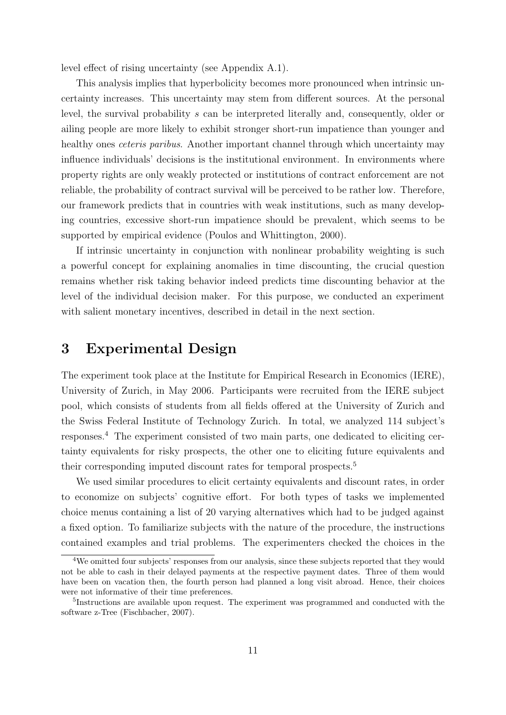level effect of rising uncertainty (see Appendix A.1).

This analysis implies that hyperbolicity becomes more pronounced when intrinsic uncertainty increases. This uncertainty may stem from different sources. At the personal level, the survival probability s can be interpreted literally and, consequently, older or ailing people are more likely to exhibit stronger short-run impatience than younger and healthy ones *ceteris paribus*. Another important channel through which uncertainty may influence individuals' decisions is the institutional environment. In environments where property rights are only weakly protected or institutions of contract enforcement are not reliable, the probability of contract survival will be perceived to be rather low. Therefore, our framework predicts that in countries with weak institutions, such as many developing countries, excessive short-run impatience should be prevalent, which seems to be supported by empirical evidence (Poulos and Whittington, 2000).

If intrinsic uncertainty in conjunction with nonlinear probability weighting is such a powerful concept for explaining anomalies in time discounting, the crucial question remains whether risk taking behavior indeed predicts time discounting behavior at the level of the individual decision maker. For this purpose, we conducted an experiment with salient monetary incentives, described in detail in the next section.

### 3 Experimental Design

The experiment took place at the Institute for Empirical Research in Economics (IERE), University of Zurich, in May 2006. Participants were recruited from the IERE subject pool, which consists of students from all fields offered at the University of Zurich and the Swiss Federal Institute of Technology Zurich. In total, we analyzed 114 subject's responses.<sup>4</sup> The experiment consisted of two main parts, one dedicated to eliciting certainty equivalents for risky prospects, the other one to eliciting future equivalents and their corresponding imputed discount rates for temporal prospects.<sup>5</sup>

We used similar procedures to elicit certainty equivalents and discount rates, in order to economize on subjects' cognitive effort. For both types of tasks we implemented choice menus containing a list of 20 varying alternatives which had to be judged against a fixed option. To familiarize subjects with the nature of the procedure, the instructions contained examples and trial problems. The experimenters checked the choices in the

<sup>&</sup>lt;sup>4</sup>We omitted four subjects' responses from our analysis, since these subjects reported that they would not be able to cash in their delayed payments at the respective payment dates. Three of them would have been on vacation then, the fourth person had planned a long visit abroad. Hence, their choices were not informative of their time preferences.

<sup>&</sup>lt;sup>5</sup>Instructions are available upon request. The experiment was programmed and conducted with the software z-Tree (Fischbacher, 2007).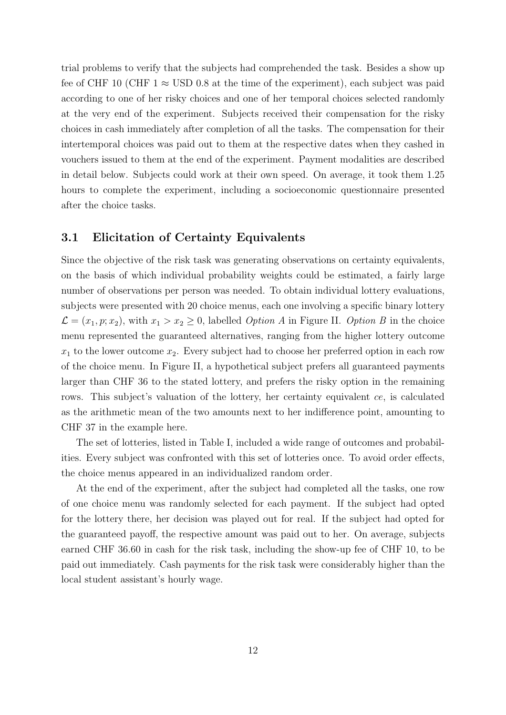trial problems to verify that the subjects had comprehended the task. Besides a show up fee of CHF 10 (CHF 1  $\approx$  USD 0.8 at the time of the experiment), each subject was paid according to one of her risky choices and one of her temporal choices selected randomly at the very end of the experiment. Subjects received their compensation for the risky choices in cash immediately after completion of all the tasks. The compensation for their intertemporal choices was paid out to them at the respective dates when they cashed in vouchers issued to them at the end of the experiment. Payment modalities are described in detail below. Subjects could work at their own speed. On average, it took them 1.25 hours to complete the experiment, including a socioeconomic questionnaire presented after the choice tasks.

#### 3.1 Elicitation of Certainty Equivalents

Since the objective of the risk task was generating observations on certainty equivalents, on the basis of which individual probability weights could be estimated, a fairly large number of observations per person was needed. To obtain individual lottery evaluations, subjects were presented with 20 choice menus, each one involving a specific binary lottery  $\mathcal{L} = (x_1, p; x_2)$ , with  $x_1 > x_2 \geq 0$ , labelled *Option A* in Figure II. *Option B* in the choice menu represented the guaranteed alternatives, ranging from the higher lottery outcome  $x_1$  to the lower outcome  $x_2$ . Every subject had to choose her preferred option in each row of the choice menu. In Figure II, a hypothetical subject prefers all guaranteed payments larger than CHF 36 to the stated lottery, and prefers the risky option in the remaining rows. This subject's valuation of the lottery, her certainty equivalent ce, is calculated as the arithmetic mean of the two amounts next to her indifference point, amounting to CHF 37 in the example here.

The set of lotteries, listed in Table I, included a wide range of outcomes and probabilities. Every subject was confronted with this set of lotteries once. To avoid order effects, the choice menus appeared in an individualized random order.

At the end of the experiment, after the subject had completed all the tasks, one row of one choice menu was randomly selected for each payment. If the subject had opted for the lottery there, her decision was played out for real. If the subject had opted for the guaranteed payoff, the respective amount was paid out to her. On average, subjects earned CHF 36.60 in cash for the risk task, including the show-up fee of CHF 10, to be paid out immediately. Cash payments for the risk task were considerably higher than the local student assistant's hourly wage.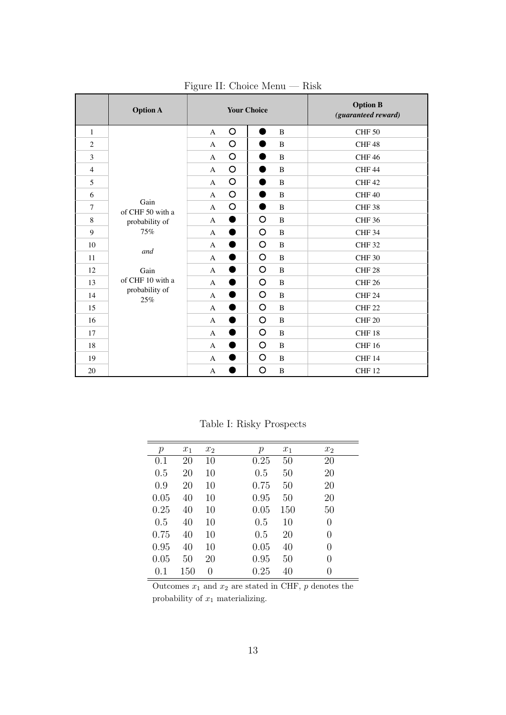|                | <b>Option A</b>                      | <b>Your Choice</b> |           |                |              | <b>Option B</b><br>(guaranteed reward) |              |
|----------------|--------------------------------------|--------------------|-----------|----------------|--------------|----------------------------------------|--------------|
| $\mathbf{1}$   |                                      | A                  | O         | Ð              | B            | <b>CHF 50</b>                          |              |
| $\overline{2}$ |                                      | $\mathbf{A}$       | O         | $\blacksquare$ | B            | CHF48                                  |              |
| 3              |                                      | A                  | $\circ$   |                | B            | CHF46                                  |              |
| $\overline{4}$ |                                      | A                  | O         | œ              | $\mathbf{B}$ | CHF <sub>44</sub>                      |              |
| 5              |                                      | A                  | $\circ$   | ٠              | B            | CHF42                                  |              |
| 6              |                                      | A                  | $\circ$   |                | B            | CHF 40                                 |              |
| $\overline{7}$ | Gain<br>of CHF 50 with a             | A                  | $\circ$   | o a            | B            | CHF <sub>38</sub>                      |              |
| 8              | probability of<br>75%<br>and<br>Gain | A                  | $\bullet$ | $\circ$        | B            | <b>CHF 36</b>                          |              |
| 9              |                                      | $\mathbf{A}$       |           | O              | B            | <b>CHF 34</b>                          |              |
| 10             |                                      |                    | A         | D              | O            | B                                      | <b>CHF32</b> |
| 11             |                                      | A                  | 8         | O              | $\, {\bf B}$ | <b>CHF 30</b>                          |              |
| 12             |                                      | A                  | Ð         | O              | B            | CHF <sub>28</sub>                      |              |
| 13             | of CHF 10 with a                     | A                  | D         | O              | B            | CHF <sub>26</sub>                      |              |
| 14             | probability of<br>25%                | A                  | D         | $\circ$        | B            | CHF <sub>24</sub>                      |              |
| 15             |                                      | $\mathbf{A}$       | D         | O              | B            | <b>CHF 22</b>                          |              |
| 16             |                                      | A                  | D         | $\circ$        | B            | <b>CHF 20</b>                          |              |
| 17             |                                      | A                  | D         | O              | B            | CHF 18                                 |              |
| 18             |                                      | A                  | Ð         | $\circ$        | B            | <b>CHF 16</b>                          |              |
| 19             |                                      | A                  |           | O              | B            | CHF <sub>14</sub>                      |              |
| 20             |                                      | A                  |           | $\circ$        | $\, {\bf B}$ | CHF <sub>12</sub>                      |              |

Figure II: Choice Menu — Risk

Table I: Risky Prospects

| $\mathcal{p}$ | $x_1$ | x <sub>2</sub> | $\mathcal{p}$ | $x_1$ | x <sub>2</sub>   |
|---------------|-------|----------------|---------------|-------|------------------|
| 0.1           | 20    | 10             | 0.25          | 50    | 20               |
| 0.5           | 20    | 10             | 0.5           | 50    | 20               |
| 0.9           | 20    | 10             | 0.75          | 50    | 20               |
| 0.05          | 40    | 10             | 0.95          | 50    | 20               |
| 0.25          | 40    | 10             | 0.05          | 150   | 50               |
| 0.5           | 40    | 10             | 0.5           | 10    | $\theta$         |
| 0.75          | 40    | 10             | 0.5           | 20    | 0                |
| 0.95          | 40    | 10             | 0.05          | 40    | 0                |
| 0.05          | 50    | 20             | 0.95          | 50    | 0                |
| 0.1           | 150   | 0              | 0.25          | 40    | $\left( \right)$ |

Outcomes  $x_1$  and  $x_2$  are stated in CHF, p denotes the probability of  $x_1$  materializing.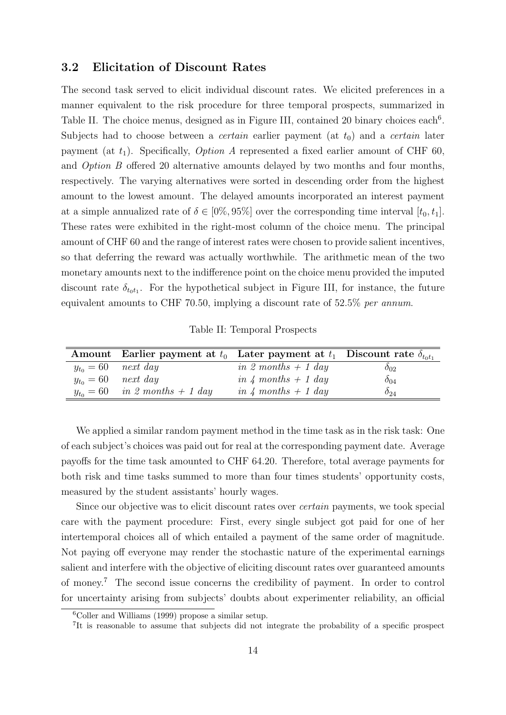#### 3.2 Elicitation of Discount Rates

The second task served to elicit individual discount rates. We elicited preferences in a manner equivalent to the risk procedure for three temporal prospects, summarized in Table II. The choice menus, designed as in Figure III, contained 20 binary choices each<sup>6</sup>. Subjects had to choose between a *certain* earlier payment (at  $t_0$ ) and a *certain* later payment (at  $t_1$ ). Specifically, *Option A* represented a fixed earlier amount of CHF 60, and Option B offered 20 alternative amounts delayed by two months and four months, respectively. The varying alternatives were sorted in descending order from the highest amount to the lowest amount. The delayed amounts incorporated an interest payment at a simple annualized rate of  $\delta \in [0\%, 95\%]$  over the corresponding time interval  $[t_0, t_1]$ . These rates were exhibited in the right-most column of the choice menu. The principal amount of CHF 60 and the range of interest rates were chosen to provide salient incentives, so that deferring the reward was actually worthwhile. The arithmetic mean of the two monetary amounts next to the indifference point on the choice menu provided the imputed discount rate  $\delta_{t_0 t_1}$ . For the hypothetical subject in Figure III, for instance, the future equivalent amounts to CHF 70.50, implying a discount rate of 52.5% per annum.

Table II: Temporal Prospects

|                         | Amount Earlier payment at $t_0$ Later payment at $t_1$ Discount rate $\delta_{tot_1}$ |                       |               |
|-------------------------|---------------------------------------------------------------------------------------|-----------------------|---------------|
| $y_{t_0} = 60$ next day |                                                                                       | in 2 months $+$ 1 day | $\delta_{02}$ |
|                         | $y_{t_0} = 60$ next day                                                               | in 4 months $+$ 1 day | $\delta_{04}$ |
|                         | $y_{t_0} = 60$ in 2 months + 1 day                                                    | in 4 months $+$ 1 day | $\delta_{24}$ |

We applied a similar random payment method in the time task as in the risk task: One of each subject's choices was paid out for real at the corresponding payment date. Average payoffs for the time task amounted to CHF 64.20. Therefore, total average payments for both risk and time tasks summed to more than four times students' opportunity costs, measured by the student assistants' hourly wages.

Since our objective was to elicit discount rates over certain payments, we took special care with the payment procedure: First, every single subject got paid for one of her intertemporal choices all of which entailed a payment of the same order of magnitude. Not paying off everyone may render the stochastic nature of the experimental earnings salient and interfere with the objective of eliciting discount rates over guaranteed amounts of money.<sup>7</sup> The second issue concerns the credibility of payment. In order to control for uncertainty arising from subjects' doubts about experimenter reliability, an official

 ${}^{6}$ Coller and Williams (1999) propose a similar setup.

<sup>7</sup> It is reasonable to assume that subjects did not integrate the probability of a specific prospect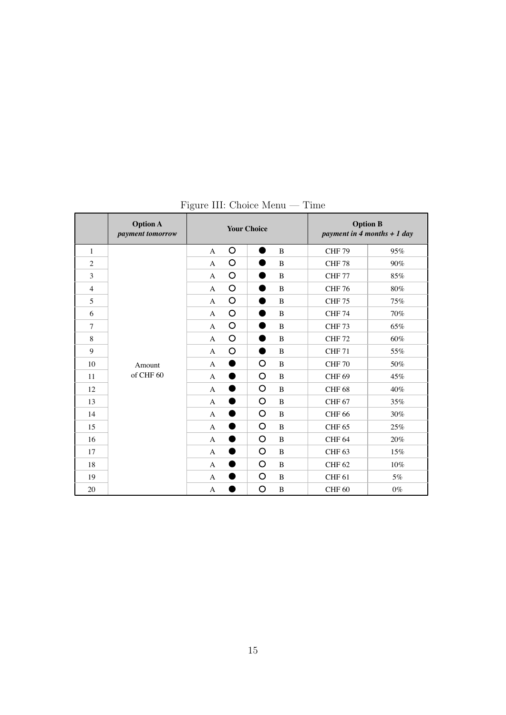|                          | <b>Option A</b><br>payment tomorrow |                |         | <b>Your Choice</b> |              |                   | <b>Option B</b><br>payment in 4 months $+1$ day |
|--------------------------|-------------------------------------|----------------|---------|--------------------|--------------|-------------------|-------------------------------------------------|
| $\mathbf{1}$             |                                     | $\mathbf{A}$   | O       | Ð                  | B            | <b>CHF 79</b>     | 95%                                             |
| $\mathbf{2}$             |                                     | $\mathbf{A}$   | O       |                    | B            | <b>CHF78</b>      | 90%                                             |
| 3                        |                                     | $\mathbf{A}$   | O       |                    | B            | <b>CHF 77</b>     | 85%                                             |
| $\overline{\mathcal{L}}$ |                                     | $\mathbf{A}$   | O       |                    | B            | <b>CHF 76</b>     | $80\%$                                          |
| 5                        |                                     | $\mathbf{A}$   | O       | ٠                  | B            | <b>CHF 75</b>     | 75%                                             |
| 6                        |                                     | A              | O       | o                  | B            | <b>CHF 74</b>     | 70%                                             |
| $\overline{7}$           |                                     | $\mathbf{A}$   | O       | ٠                  | B            | CHF <sub>73</sub> | 65%                                             |
| 8                        |                                     | $\mathbf{A}$   | $\circ$ |                    | B            | <b>CHF72</b>      | 60%                                             |
| 9                        |                                     | $\mathbf{A}$   | O       | ●                  | B            | <b>CHF 71</b>     | 55%                                             |
| 10                       | Amount<br>of CHF 60                 | A              | ●       | O                  | B            | <b>CHF 70</b>     | 50%                                             |
| 11                       |                                     | $\mathbf{A}$   |         | $\circ$            | B            | <b>CHF 69</b>     | 45%                                             |
| 12                       |                                     | A              | D       | O                  | B            | <b>CHF 68</b>     | 40%                                             |
| 13                       |                                     | $\mathbf{A}$   | D       | $\circ$            | $\, {\bf B}$ | CHF <sub>67</sub> | 35%                                             |
| 14                       |                                     | $\overline{A}$ |         | O                  | B            | <b>CHF 66</b>     | 30%                                             |
| 15                       |                                     | $\mathbf{A}$   | D       | O                  | B            | <b>CHF 65</b>     | 25%                                             |
| 16                       |                                     | $\mathbf{A}$   | ●       | O                  | B            | CHF <sub>64</sub> | 20%                                             |
| 17                       |                                     | $\mathbf{A}$   |         | O                  | B            | CHF <sub>63</sub> | 15%                                             |
| 18                       |                                     | $\mathbf{A}$   | ٠       | O                  | B            | <b>CHF 62</b>     | 10%                                             |
| 19                       |                                     | $\mathbf{A}$   | D       | O                  | B            | CHF <sub>61</sub> | 5%                                              |
| 20                       |                                     | A              |         | O                  | B            | CHF <sub>60</sub> | $0\%$                                           |

Figure III: Choice Menu — Time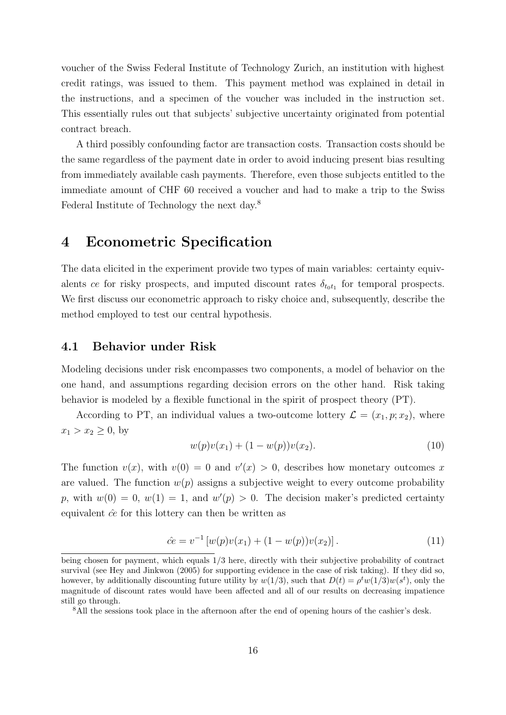voucher of the Swiss Federal Institute of Technology Zurich, an institution with highest credit ratings, was issued to them. This payment method was explained in detail in the instructions, and a specimen of the voucher was included in the instruction set. This essentially rules out that subjects' subjective uncertainty originated from potential contract breach.

A third possibly confounding factor are transaction costs. Transaction costs should be the same regardless of the payment date in order to avoid inducing present bias resulting from immediately available cash payments. Therefore, even those subjects entitled to the immediate amount of CHF 60 received a voucher and had to make a trip to the Swiss Federal Institute of Technology the next day.<sup>8</sup>

### 4 Econometric Specification

The data elicited in the experiment provide two types of main variables: certainty equivalents ce for risky prospects, and imputed discount rates  $\delta_{t_0 t_1}$  for temporal prospects. We first discuss our econometric approach to risky choice and, subsequently, describe the method employed to test our central hypothesis.

#### 4.1 Behavior under Risk

Modeling decisions under risk encompasses two components, a model of behavior on the one hand, and assumptions regarding decision errors on the other hand. Risk taking behavior is modeled by a flexible functional in the spirit of prospect theory (PT).

According to PT, an individual values a two-outcome lottery  $\mathcal{L} = (x_1, p; x_2)$ , where  $x_1 > x_2 \geq 0$ , by

$$
w(p)v(x_1) + (1 - w(p))v(x_2). \tag{10}
$$

The function  $v(x)$ , with  $v(0) = 0$  and  $v'(x) > 0$ , describes how monetary outcomes x are valued. The function  $w(p)$  assigns a subjective weight to every outcome probability p, with  $w(0) = 0$ ,  $w(1) = 1$ , and  $w'(p) > 0$ . The decision maker's predicted certainty equivalent  $\hat{c}e$  for this lottery can then be written as

$$
\hat{ce} = v^{-1} \left[ w(p)v(x_1) + (1 - w(p))v(x_2) \right]. \tag{11}
$$

being chosen for payment, which equals 1/3 here, directly with their subjective probability of contract survival (see Hey and Jinkwon (2005) for supporting evidence in the case of risk taking). If they did so, however, by additionally discounting future utility by  $w(1/3)$ , such that  $D(t) = \rho^t w(1/3)w(s^t)$ , only the magnitude of discount rates would have been affected and all of our results on decreasing impatience still go through.

<sup>&</sup>lt;sup>8</sup>All the sessions took place in the afternoon after the end of opening hours of the cashier's desk.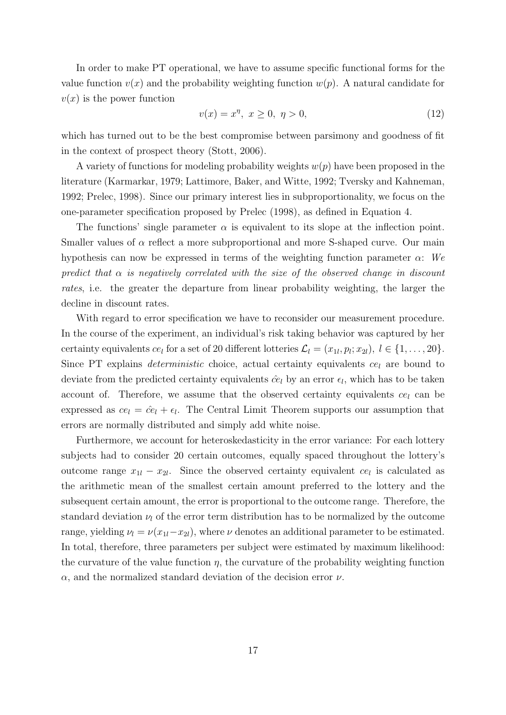In order to make PT operational, we have to assume specific functional forms for the value function  $v(x)$  and the probability weighting function  $w(p)$ . A natural candidate for  $v(x)$  is the power function

$$
v(x) = x^{\eta}, \ x \ge 0, \ \eta > 0,
$$
\n(12)

which has turned out to be the best compromise between parsimony and goodness of fit in the context of prospect theory (Stott, 2006).

A variety of functions for modeling probability weights  $w(p)$  have been proposed in the literature (Karmarkar, 1979; Lattimore, Baker, and Witte, 1992; Tversky and Kahneman, 1992; Prelec, 1998). Since our primary interest lies in subproportionality, we focus on the one-parameter specification proposed by Prelec (1998), as defined in Equation 4.

The functions' single parameter  $\alpha$  is equivalent to its slope at the inflection point. Smaller values of  $\alpha$  reflect a more subproportional and more S-shaped curve. Our main hypothesis can now be expressed in terms of the weighting function parameter  $\alpha$ : We predict that  $\alpha$  is negatively correlated with the size of the observed change in discount rates, i.e. the greater the departure from linear probability weighting, the larger the decline in discount rates.

With regard to error specification we have to reconsider our measurement procedure. In the course of the experiment, an individual's risk taking behavior was captured by her certainty equivalents  $ce_l$  for a set of 20 different lotteries  $\mathcal{L}_l = (x_{1l}, p_l; x_{2l}), l \in \{1, ..., 20\}$ . Since PT explains *deterministic* choice, actual certainty equivalents  $ce_l$  are bound to deviate from the predicted certainty equivalents  $\hat{c}e_l$  by an error  $\epsilon_l$ , which has to be taken account of. Therefore, we assume that the observed certainty equivalents  $ce_l$  can be expressed as  $ce_l = \hat{ce}_l + \epsilon_l$ . The Central Limit Theorem supports our assumption that errors are normally distributed and simply add white noise.

Furthermore, we account for heteroskedasticity in the error variance: For each lottery subjects had to consider 20 certain outcomes, equally spaced throughout the lottery's outcome range  $x_{1l} - x_{2l}$ . Since the observed certainty equivalent  $ce_l$  is calculated as the arithmetic mean of the smallest certain amount preferred to the lottery and the subsequent certain amount, the error is proportional to the outcome range. Therefore, the standard deviation  $\nu_l$  of the error term distribution has to be normalized by the outcome range, yielding  $\nu_l = \nu(x_{1l}-x_{2l})$ , where  $\nu$  denotes an additional parameter to be estimated. In total, therefore, three parameters per subject were estimated by maximum likelihood: the curvature of the value function  $\eta$ , the curvature of the probability weighting function  $\alpha$ , and the normalized standard deviation of the decision error  $\nu$ .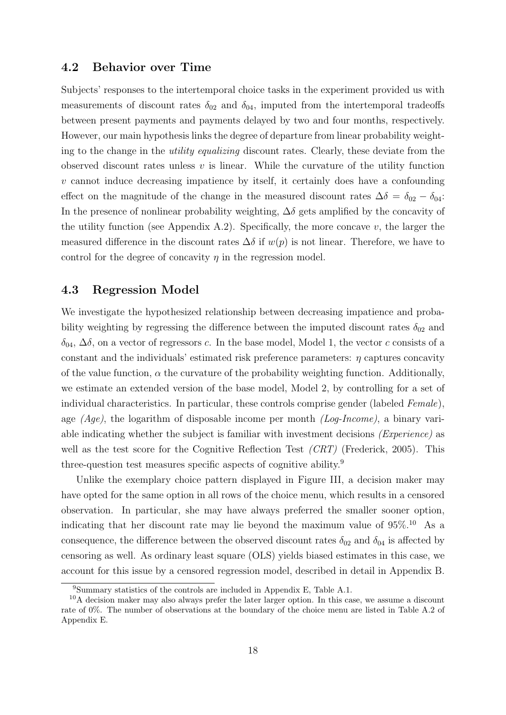#### 4.2 Behavior over Time

Subjects' responses to the intertemporal choice tasks in the experiment provided us with measurements of discount rates  $\delta_{02}$  and  $\delta_{04}$ , imputed from the intertemporal tradeoffs between present payments and payments delayed by two and four months, respectively. However, our main hypothesis links the degree of departure from linear probability weighting to the change in the utility equalizing discount rates. Clearly, these deviate from the observed discount rates unless  $v$  is linear. While the curvature of the utility function v cannot induce decreasing impatience by itself, it certainly does have a confounding effect on the magnitude of the change in the measured discount rates  $\Delta \delta = \delta_{02} - \delta_{04}$ : In the presence of nonlinear probability weighting,  $\Delta \delta$  gets amplified by the concavity of the utility function (see Appendix A.2). Specifically, the more concave  $v$ , the larger the measured difference in the discount rates  $\Delta \delta$  if  $w(p)$  is not linear. Therefore, we have to control for the degree of concavity  $\eta$  in the regression model.

#### 4.3 Regression Model

We investigate the hypothesized relationship between decreasing impatience and probability weighting by regressing the difference between the imputed discount rates  $\delta_{02}$  and  $\delta_{04}$ ,  $\Delta\delta$ , on a vector of regressors c. In the base model, Model 1, the vector c consists of a constant and the individuals' estimated risk preference parameters:  $\eta$  captures concavity of the value function,  $\alpha$  the curvature of the probability weighting function. Additionally, we estimate an extended version of the base model, Model 2, by controlling for a set of individual characteristics. In particular, these controls comprise gender (labeled Female), age  $(Aqe)$ , the logarithm of disposable income per month  $(Log-Income)$ , a binary variable indicating whether the subject is familiar with investment decisions (Experience) as well as the test score for the Cognitive Reflection Test *(CRT)* (Frederick, 2005). This three-question test measures specific aspects of cognitive ability.<sup>9</sup>

Unlike the exemplary choice pattern displayed in Figure III, a decision maker may have opted for the same option in all rows of the choice menu, which results in a censored observation. In particular, she may have always preferred the smaller sooner option, indicating that her discount rate may lie beyond the maximum value of 95%.<sup>10</sup> As a consequence, the difference between the observed discount rates  $\delta_{02}$  and  $\delta_{04}$  is affected by censoring as well. As ordinary least square (OLS) yields biased estimates in this case, we account for this issue by a censored regression model, described in detail in Appendix B.

<sup>9</sup>Summary statistics of the controls are included in Appendix E, Table A.1.

 $10A$  decision maker may also always prefer the later larger option. In this case, we assume a discount rate of 0%. The number of observations at the boundary of the choice menu are listed in Table A.2 of Appendix E.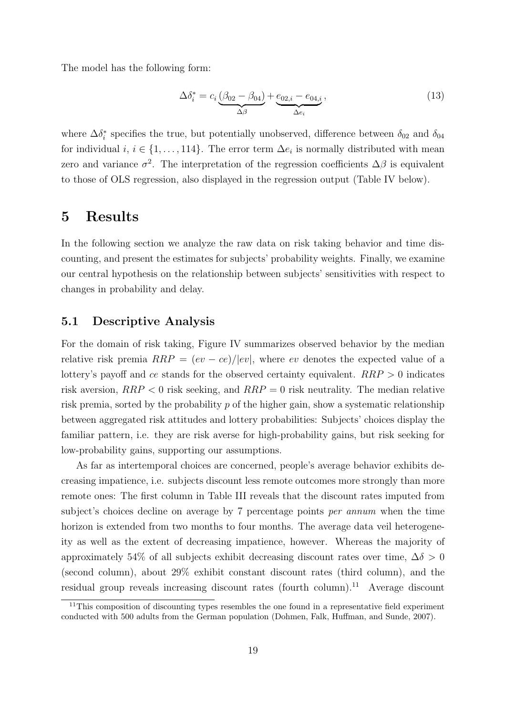The model has the following form:

$$
\Delta \delta_i^* = c_i \underbrace{(\beta_{02} - \beta_{04})}_{\Delta \beta} + \underbrace{e_{02,i} - e_{04,i}}_{\Delta e_i},
$$
\n(13)

where  $\Delta \delta_i^*$  specifies the true, but potentially unobserved, difference between  $\delta_{02}$  and  $\delta_{04}$ for individual  $i, i \in \{1, \ldots, 114\}$ . The error term  $\Delta e_i$  is normally distributed with mean zero and variance  $\sigma^2$ . The interpretation of the regression coefficients  $\Delta\beta$  is equivalent to those of OLS regression, also displayed in the regression output (Table IV below).

### 5 Results

In the following section we analyze the raw data on risk taking behavior and time discounting, and present the estimates for subjects' probability weights. Finally, we examine our central hypothesis on the relationship between subjects' sensitivities with respect to changes in probability and delay.

#### 5.1 Descriptive Analysis

For the domain of risk taking, Figure IV summarizes observed behavior by the median relative risk premia  $RRP = (ev - ce)/|ev|$ , where ev denotes the expected value of a lottery's payoff and ce stands for the observed certainty equivalent.  $RRP > 0$  indicates risk aversion,  $RRP < 0$  risk seeking, and  $RRP = 0$  risk neutrality. The median relative risk premia, sorted by the probability p of the higher gain, show a systematic relationship between aggregated risk attitudes and lottery probabilities: Subjects' choices display the familiar pattern, i.e. they are risk averse for high-probability gains, but risk seeking for low-probability gains, supporting our assumptions.

As far as intertemporal choices are concerned, people's average behavior exhibits decreasing impatience, i.e. subjects discount less remote outcomes more strongly than more remote ones: The first column in Table III reveals that the discount rates imputed from subject's choices decline on average by 7 percentage points per annum when the time horizon is extended from two months to four months. The average data veil heterogeneity as well as the extent of decreasing impatience, however. Whereas the majority of approximately 54% of all subjects exhibit decreasing discount rates over time,  $\Delta \delta > 0$ (second column), about 29% exhibit constant discount rates (third column), and the residual group reveals increasing discount rates (fourth column).<sup>11</sup> Average discount

 $11$ This composition of discounting types resembles the one found in a representative field experiment conducted with 500 adults from the German population (Dohmen, Falk, Huffman, and Sunde, 2007).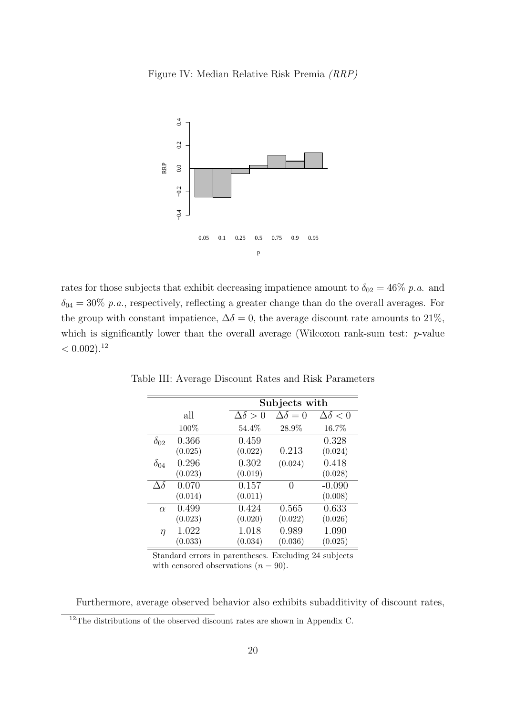Figure IV: Median Relative Risk Premia (RRP)



rates for those subjects that exhibit decreasing impatience amount to  $\delta_{02} = 46\%$  p.a. and  $\delta_{04} = 30\%$  p.a., respectively, reflecting a greater change than do the overall averages. For the group with constant impatience,  $\Delta \delta = 0$ , the average discount rate amounts to 21%, which is significantly lower than the overall average (Wilcoxon rank-sum test:  $p$ -value  $< 0.002$ ).<sup>12</sup>

|                |         | Subjects with    |                     |                    |  |  |
|----------------|---------|------------------|---------------------|--------------------|--|--|
|                | all     | $\Delta\delta>0$ | $\Delta \delta = 0$ | $\Delta\delta < 0$ |  |  |
|                | 100%    | 54.4%            | 28.9%               | 16.7%              |  |  |
| $\delta_{02}$  | 0.366   | 0.459            |                     | 0.328              |  |  |
|                | (0.025) | (0.022)          | 0.213               | (0.024)            |  |  |
| $\delta_{04}$  | 0.296   | 0.302            | (0.024)             | 0.418              |  |  |
|                | (0.023) | (0.019)          |                     | (0.028)            |  |  |
| $\Delta\delta$ | 0.070   | 0.157            | $\left( \right)$    | $-0.090$           |  |  |
|                | (0.014) | (0.011)          |                     | (0.008)            |  |  |
| $\alpha$       | 0.499   | 0.424            | 0.565               | 0.633              |  |  |
|                | (0.023) | (0.020)          | (0.022)             | (0.026)            |  |  |
| η              | 1.022   | 1.018            | 0.989               | 1.090              |  |  |
|                | (0.033) | (0.034)          | (0.036)             | (0.025)            |  |  |

Table III: Average Discount Rates and Risk Parameters

Standard errors in parentheses. Excluding 24 subjects with censored observations  $(n = 90)$ .

Furthermore, average observed behavior also exhibits subadditivity of discount rates,

<sup>&</sup>lt;sup>12</sup>The distributions of the observed discount rates are shown in Appendix C.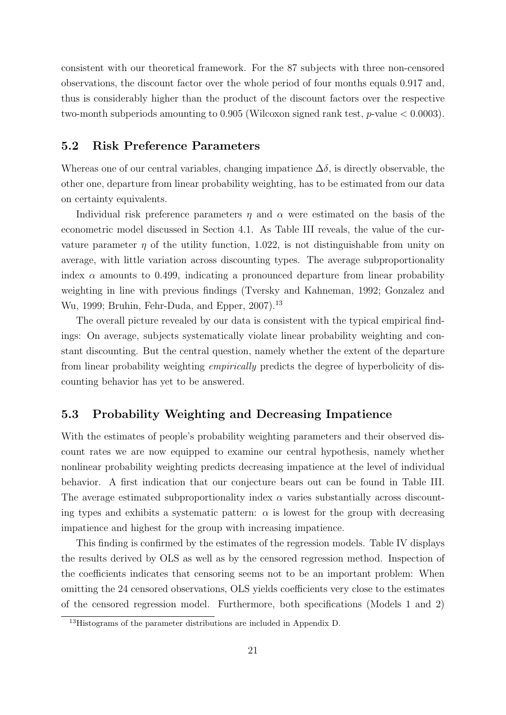consistent with our theoretical framework. For the 87 subjects with three non-censored observations, the discount factor over the whole period of four months equals 0.917 and, thus is considerably higher than the product of the discount factors over the respective two-month subperiods amounting to  $0.905$  (Wilcoxon signed rank test,  $p$ -value  $< 0.0003$ ).

#### 5.2 Risk Preference Parameters

Whereas one of our central variables, changing impatience  $\Delta\delta$ , is directly observable, the other one, departure from linear probability weighting, has to be estimated from our data on certainty equivalents.

Individual risk preference parameters  $\eta$  and  $\alpha$  were estimated on the basis of the econometric model discussed in Section 4.1. As Table III reveals, the value of the curvature parameter  $\eta$  of the utility function, 1.022, is not distinguishable from unity on average, with little variation across discounting types. The average subproportionality index  $\alpha$  amounts to 0.499, indicating a pronounced departure from linear probability weighting in line with previous findings (Tversky and Kahneman, 1992; Gonzalez and Wu, 1999; Bruhin, Fehr-Duda, and Epper, 2007).<sup>13</sup>

The overall picture revealed by our data is consistent with the typical empirical findings: On average, subjects systematically violate linear probability weighting and constant discounting. But the central question, namely whether the extent of the departure from linear probability weighting empirically predicts the degree of hyperbolicity of discounting behavior has yet to be answered.

#### 5.3 Probability Weighting and Decreasing Impatience

With the estimates of people's probability weighting parameters and their observed discount rates we are now equipped to examine our central hypothesis, namely whether nonlinear probability weighting predicts decreasing impatience at the level of individual behavior. A first indication that our conjecture bears out can be found in Table III. The average estimated subproportionality index  $\alpha$  varies substantially across discounting types and exhibits a systematic pattern:  $\alpha$  is lowest for the group with decreasing impatience and highest for the group with increasing impatience.

This finding is confirmed by the estimates of the regression models. Table IV displays the results derived by OLS as well as by the censored regression method. Inspection of the coefficients indicates that censoring seems not to be an important problem: When omitting the 24 censored observations, OLS yields coefficients very close to the estimates of the censored regression model. Furthermore, both specifications (Models 1 and 2)

<sup>13</sup>Histograms of the parameter distributions are included in Appendix D.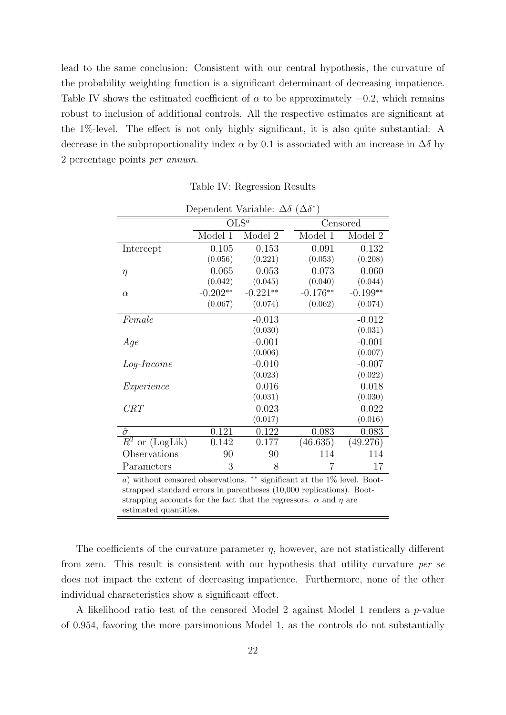lead to the same conclusion: Consistent with our central hypothesis, the curvature of the probability weighting function is a significant determinant of decreasing impatience. Table IV shows the estimated coefficient of  $\alpha$  to be approximately  $-0.2$ , which remains robust to inclusion of additional controls. All the respective estimates are significant at the 1%-level. The effect is not only highly significant, it is also quite substantial: A decrease in the subproportionality index  $\alpha$  by 0.1 is associated with an increase in  $\Delta\delta$  by 2 percentage points per annum.

|                                                                                 | Dependent Variable: $\Delta \delta$ ( $\Delta \delta^*$ ) |            |            |            |  |
|---------------------------------------------------------------------------------|-----------------------------------------------------------|------------|------------|------------|--|
|                                                                                 |                                                           | $OLS^a$    |            | Censored   |  |
|                                                                                 | Model $\overline{1}$                                      | Model 2    | Model 1    | Model 2    |  |
| Intercept                                                                       | 0.105                                                     | 0.153      | 0.091      | 0.132      |  |
|                                                                                 | (0.056)                                                   | (0.221)    | (0.053)    | (0.208)    |  |
| $\eta$                                                                          | 0.065                                                     | 0.053      | 0.073      | 0.060      |  |
|                                                                                 | (0.042)                                                   | (0.045)    | (0.040)    | (0.044)    |  |
| $\alpha$                                                                        | $-0.202**$                                                | $-0.221**$ | $-0.176**$ | $-0.199**$ |  |
|                                                                                 | (0.067)                                                   | (0.074)    | (0.062)    | (0.074)    |  |
| Female                                                                          |                                                           | $-0.013$   |            | $-0.012$   |  |
|                                                                                 |                                                           | (0.030)    |            | (0.031)    |  |
| Age                                                                             |                                                           | $-0.001$   |            | $-0.001$   |  |
|                                                                                 |                                                           | (0.006)    |            | (0.007)    |  |
| $Log-Income$                                                                    |                                                           | $-0.010$   |            | $-0.007$   |  |
|                                                                                 |                                                           | (0.023)    |            | (0.022)    |  |
| Experience                                                                      |                                                           | 0.016      |            | 0.018      |  |
|                                                                                 |                                                           | (0.031)    |            | (0.030)    |  |
| CRT                                                                             |                                                           | 0.023      |            | 0.022      |  |
|                                                                                 |                                                           | (0.017)    |            | (0.016)    |  |
| $\hat{\sigma}$                                                                  | 0.121                                                     | 0.122      | 0.083      | 0.083      |  |
| $R^2$ or (LogLik)                                                               | 0.142                                                     | 0.177      | (46.635)   | (49.276)   |  |
| Observations                                                                    | 90                                                        | 90         | 114        | 114        |  |
| Parameters                                                                      | 3                                                         | 8          | 7          | 17         |  |
| $**$ gignificant at the $1\%$ level $Root$<br>a) without conserved observations |                                                           |            |            |            |  |

Table IV: Regression Results

a) without censored observations. ∗∗ significant at the 1% level. Bootstrapped standard errors in parentheses (10,000 replications). Bootstrapping accounts for the fact that the regressors.  $\alpha$  and  $\eta$  are estimated quantities.

The coefficients of the curvature parameter  $\eta$ , however, are not statistically different from zero. This result is consistent with our hypothesis that utility curvature per se does not impact the extent of decreasing impatience. Furthermore, none of the other individual characteristics show a significant effect.

A likelihood ratio test of the censored Model 2 against Model 1 renders a p-value of 0.954, favoring the more parsimonious Model 1, as the controls do not substantially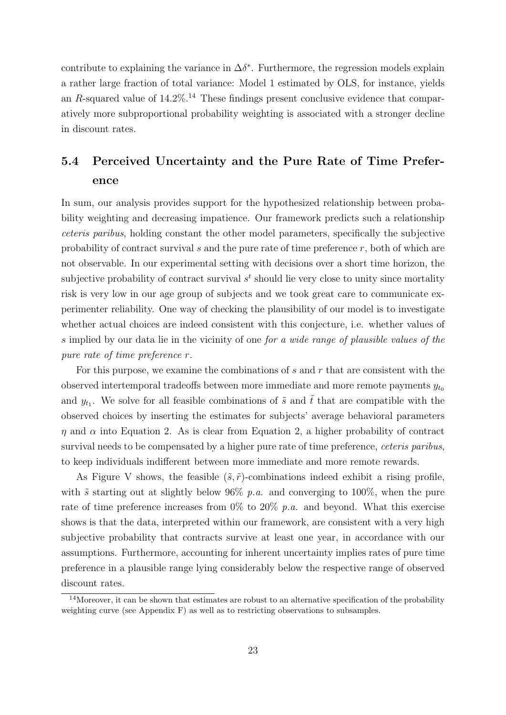contribute to explaining the variance in  $\Delta \delta^*$ . Furthermore, the regression models explain a rather large fraction of total variance: Model 1 estimated by OLS, for instance, yields an R-squared value of  $14.2\%$ .<sup>14</sup> These findings present conclusive evidence that comparatively more subproportional probability weighting is associated with a stronger decline in discount rates.

## 5.4 Perceived Uncertainty and the Pure Rate of Time Preference

In sum, our analysis provides support for the hypothesized relationship between probability weighting and decreasing impatience. Our framework predicts such a relationship ceteris paribus, holding constant the other model parameters, specifically the subjective probability of contract survival s and the pure rate of time preference  $r$ , both of which are not observable. In our experimental setting with decisions over a short time horizon, the subjective probability of contract survival  $s<sup>t</sup>$  should lie very close to unity since mortality risk is very low in our age group of subjects and we took great care to communicate experimenter reliability. One way of checking the plausibility of our model is to investigate whether actual choices are indeed consistent with this conjecture, i.e. whether values of s implied by our data lie in the vicinity of one for a wide range of plausible values of the pure rate of time preference r.

For this purpose, we examine the combinations of  $s$  and  $r$  that are consistent with the observed intertemporal tradeoffs between more immediate and more remote payments  $y_{to}$ and  $y_{t_1}$ . We solve for all feasible combinations of  $\tilde{s}$  and  $\tilde{t}$  that are compatible with the observed choices by inserting the estimates for subjects' average behavioral parameters  $\eta$  and  $\alpha$  into Equation 2. As is clear from Equation 2, a higher probability of contract survival needs to be compensated by a higher pure rate of time preference, *ceteris paribus*, to keep individuals indifferent between more immediate and more remote rewards.

As Figure V shows, the feasible  $(\tilde{s}, \tilde{r})$ -combinations indeed exhibit a rising profile, with  $\tilde{s}$  starting out at slightly below 96% p.a. and converging to 100%, when the pure rate of time preference increases from  $0\%$  to  $20\%$  p.a. and beyond. What this exercise shows is that the data, interpreted within our framework, are consistent with a very high subjective probability that contracts survive at least one year, in accordance with our assumptions. Furthermore, accounting for inherent uncertainty implies rates of pure time preference in a plausible range lying considerably below the respective range of observed discount rates.

 $14$ Moreover, it can be shown that estimates are robust to an alternative specification of the probability weighting curve (see Appendix F) as well as to restricting observations to subsamples.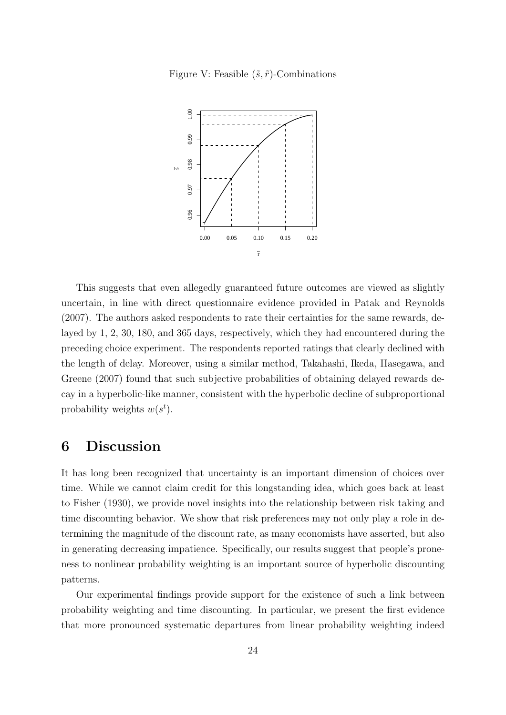Figure V: Feasible  $(\tilde{s}, \tilde{r})$ -Combinations



This suggests that even allegedly guaranteed future outcomes are viewed as slightly uncertain, in line with direct questionnaire evidence provided in Patak and Reynolds (2007). The authors asked respondents to rate their certainties for the same rewards, delayed by 1, 2, 30, 180, and 365 days, respectively, which they had encountered during the preceding choice experiment. The respondents reported ratings that clearly declined with the length of delay. Moreover, using a similar method, Takahashi, Ikeda, Hasegawa, and Greene (2007) found that such subjective probabilities of obtaining delayed rewards decay in a hyperbolic-like manner, consistent with the hyperbolic decline of subproportional probability weights  $w(s^t)$ .

## 6 Discussion

It has long been recognized that uncertainty is an important dimension of choices over time. While we cannot claim credit for this longstanding idea, which goes back at least to Fisher (1930), we provide novel insights into the relationship between risk taking and time discounting behavior. We show that risk preferences may not only play a role in determining the magnitude of the discount rate, as many economists have asserted, but also in generating decreasing impatience. Specifically, our results suggest that people's proneness to nonlinear probability weighting is an important source of hyperbolic discounting patterns.

Our experimental findings provide support for the existence of such a link between probability weighting and time discounting. In particular, we present the first evidence that more pronounced systematic departures from linear probability weighting indeed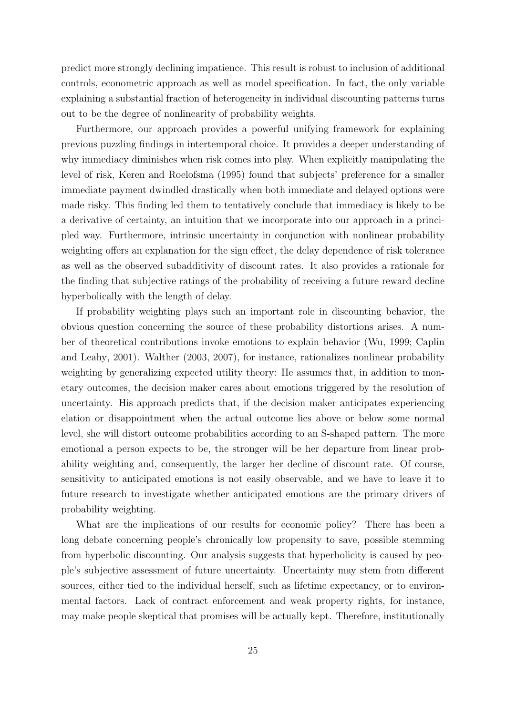predict more strongly declining impatience. This result is robust to inclusion of additional controls, econometric approach as well as model specification. In fact, the only variable explaining a substantial fraction of heterogeneity in individual discounting patterns turns out to be the degree of nonlinearity of probability weights.

Furthermore, our approach provides a powerful unifying framework for explaining previous puzzling findings in intertemporal choice. It provides a deeper understanding of why immediacy diminishes when risk comes into play. When explicitly manipulating the level of risk, Keren and Roelofsma (1995) found that subjects' preference for a smaller immediate payment dwindled drastically when both immediate and delayed options were made risky. This finding led them to tentatively conclude that immediacy is likely to be a derivative of certainty, an intuition that we incorporate into our approach in a principled way. Furthermore, intrinsic uncertainty in conjunction with nonlinear probability weighting offers an explanation for the sign effect, the delay dependence of risk tolerance as well as the observed subadditivity of discount rates. It also provides a rationale for the finding that subjective ratings of the probability of receiving a future reward decline hyperbolically with the length of delay.

If probability weighting plays such an important role in discounting behavior, the obvious question concerning the source of these probability distortions arises. A number of theoretical contributions invoke emotions to explain behavior (Wu, 1999; Caplin and Leahy, 2001). Walther (2003, 2007), for instance, rationalizes nonlinear probability weighting by generalizing expected utility theory: He assumes that, in addition to monetary outcomes, the decision maker cares about emotions triggered by the resolution of uncertainty. His approach predicts that, if the decision maker anticipates experiencing elation or disappointment when the actual outcome lies above or below some normal level, she will distort outcome probabilities according to an S-shaped pattern. The more emotional a person expects to be, the stronger will be her departure from linear probability weighting and, consequently, the larger her decline of discount rate. Of course, sensitivity to anticipated emotions is not easily observable, and we have to leave it to future research to investigate whether anticipated emotions are the primary drivers of probability weighting.

What are the implications of our results for economic policy? There has been a long debate concerning people's chronically low propensity to save, possible stemming from hyperbolic discounting. Our analysis suggests that hyperbolicity is caused by people's subjective assessment of future uncertainty. Uncertainty may stem from different sources, either tied to the individual herself, such as lifetime expectancy, or to environmental factors. Lack of contract enforcement and weak property rights, for instance, may make people skeptical that promises will be actually kept. Therefore, institutionally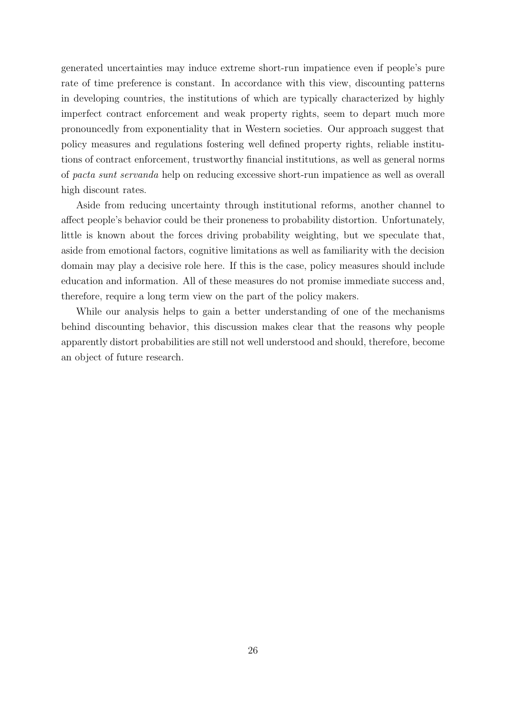generated uncertainties may induce extreme short-run impatience even if people's pure rate of time preference is constant. In accordance with this view, discounting patterns in developing countries, the institutions of which are typically characterized by highly imperfect contract enforcement and weak property rights, seem to depart much more pronouncedly from exponentiality that in Western societies. Our approach suggest that policy measures and regulations fostering well defined property rights, reliable institutions of contract enforcement, trustworthy financial institutions, as well as general norms of pacta sunt servanda help on reducing excessive short-run impatience as well as overall high discount rates.

Aside from reducing uncertainty through institutional reforms, another channel to affect people's behavior could be their proneness to probability distortion. Unfortunately, little is known about the forces driving probability weighting, but we speculate that, aside from emotional factors, cognitive limitations as well as familiarity with the decision domain may play a decisive role here. If this is the case, policy measures should include education and information. All of these measures do not promise immediate success and, therefore, require a long term view on the part of the policy makers.

While our analysis helps to gain a better understanding of one of the mechanisms behind discounting behavior, this discussion makes clear that the reasons why people apparently distort probabilities are still not well understood and should, therefore, become an object of future research.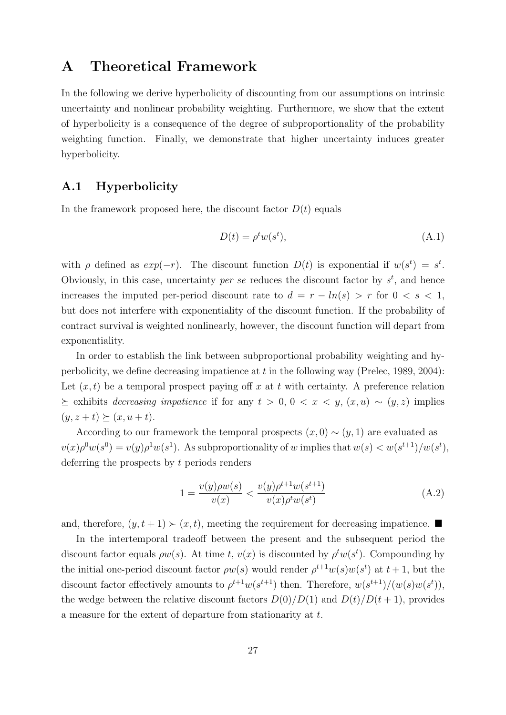## A Theoretical Framework

In the following we derive hyperbolicity of discounting from our assumptions on intrinsic uncertainty and nonlinear probability weighting. Furthermore, we show that the extent of hyperbolicity is a consequence of the degree of subproportionality of the probability weighting function. Finally, we demonstrate that higher uncertainty induces greater hyperbolicity.

#### A.1 Hyperbolicity

In the framework proposed here, the discount factor  $D(t)$  equals

$$
D(t) = \rho^t w(s^t),\tag{A.1}
$$

with  $\rho$  defined as  $exp(-r)$ . The discount function  $D(t)$  is exponential if  $w(s^t) = s^t$ . Obviously, in this case, uncertainty *per se* reduces the discount factor by  $s^t$ , and hence increases the imputed per-period discount rate to  $d = r - ln(s) > r$  for  $0 < s < 1$ , but does not interfere with exponentiality of the discount function. If the probability of contract survival is weighted nonlinearly, however, the discount function will depart from exponentiality.

In order to establish the link between subproportional probability weighting and hyperbolicity, we define decreasing impatience at t in the following way (Prelec, 1989, 2004): Let  $(x, t)$  be a temporal prospect paying off x at t with certainty. A preference relation  $\geq$  exhibits *decreasing impatience* if for any  $t > 0, 0 < x < y, (x, u) \sim (y, z)$  implies  $(y, z + t) \succeq (x, u + t).$ 

According to our framework the temporal prospects  $(x, 0) \sim (y, 1)$  are evaluated as  $v(x)\rho^{0}w(s^{0})=v(y)\rho^{1}w(s^{1}).$  As subproportionality of w implies that  $w(s) < w(s^{t+1})/w(s^{t}),$ deferring the prospects by t periods renders

$$
1 = \frac{v(y)\rho w(s)}{v(x)} < \frac{v(y)\rho^{t+1} w(s^{t+1})}{v(x)\rho^t w(s^t)}\tag{A.2}
$$

and, therefore,  $(y, t + 1) \succ (x, t)$ , meeting the requirement for decreasing impatience.

In the intertemporal tradeoff between the present and the subsequent period the discount factor equals  $\rho w(s)$ . At time t,  $v(x)$  is discounted by  $\rho^t w(s^t)$ . Compounding by the initial one-period discount factor  $\rho w(s)$  would render  $\rho^{t+1} w(s) w(s^t)$  at  $t+1$ , but the discount factor effectively amounts to  $\rho^{t+1}w(s^{t+1})$  then. Therefore,  $w(s^{t+1})/(w(s)w(s^t))$ , the wedge between the relative discount factors  $D(0)/D(1)$  and  $D(t)/D(t + 1)$ , provides a measure for the extent of departure from stationarity at t.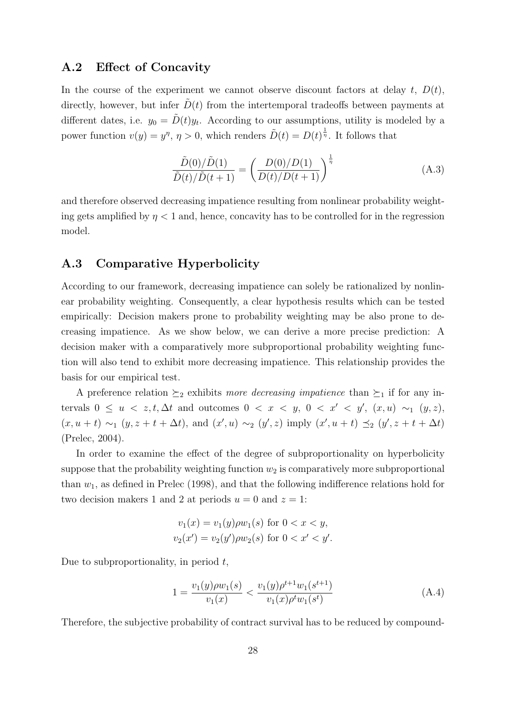#### A.2 Effect of Concavity

In the course of the experiment we cannot observe discount factors at delay  $t, D(t)$ , directly, however, but infer  $D(t)$  from the intertemporal tradeoffs between payments at different dates, i.e.  $y_0 = \tilde{D}(t)y_t$ . According to our assumptions, utility is modeled by a power function  $v(y) = y^{\eta}, \eta > 0$ , which renders  $\tilde{D}(t) = D(t)^{\frac{1}{\eta}}$ . It follows that

$$
\frac{\tilde{D}(0)/\tilde{D}(1)}{\tilde{D}(t)/\tilde{D}(t+1)} = \left(\frac{D(0)/D(1)}{D(t)/D(t+1)}\right)^{\frac{1}{\eta}}
$$
\n(A.3)

and therefore observed decreasing impatience resulting from nonlinear probability weighting gets amplified by  $\eta < 1$  and, hence, concavity has to be controlled for in the regression model.

#### A.3 Comparative Hyperbolicity

According to our framework, decreasing impatience can solely be rationalized by nonlinear probability weighting. Consequently, a clear hypothesis results which can be tested empirically: Decision makers prone to probability weighting may be also prone to decreasing impatience. As we show below, we can derive a more precise prediction: A decision maker with a comparatively more subproportional probability weighting function will also tend to exhibit more decreasing impatience. This relationship provides the basis for our empirical test.

A preference relation  $\succeq_2$  exhibits more decreasing impatience than  $\succeq_1$  if for any intervals  $0 \le u \le z, t, \Delta t$  and outcomes  $0 \le x \le y, 0 \le x' \le y'$ ,  $(x, u) \sim_1 (y, z)$ ,  $(x, u + t) \sim_1 (y, z + t + \Delta t)$ , and  $(x', u) \sim_2 (y', z)$  imply  $(x', u + t) \preceq_2 (y', z + t + \Delta t)$ (Prelec, 2004).

In order to examine the effect of the degree of subproportionality on hyperbolicity suppose that the probability weighting function  $w_2$  is comparatively more subproportional than  $w_1$ , as defined in Prelec (1998), and that the following indifference relations hold for two decision makers 1 and 2 at periods  $u = 0$  and  $z = 1$ :

$$
v_1(x) = v_1(y)\rho w_1(s) \text{ for } 0 < x < y,
$$
  

$$
v_2(x') = v_2(y')\rho w_2(s) \text{ for } 0 < x' < y'.
$$

Due to subproportionality, in period  $t$ ,

$$
1 = \frac{v_1(y)\rho w_1(s)}{v_1(x)} < \frac{v_1(y)\rho^{t+1}w_1(s^{t+1})}{v_1(x)\rho^t w_1(s^t)}\tag{A.4}
$$

Therefore, the subjective probability of contract survival has to be reduced by compound-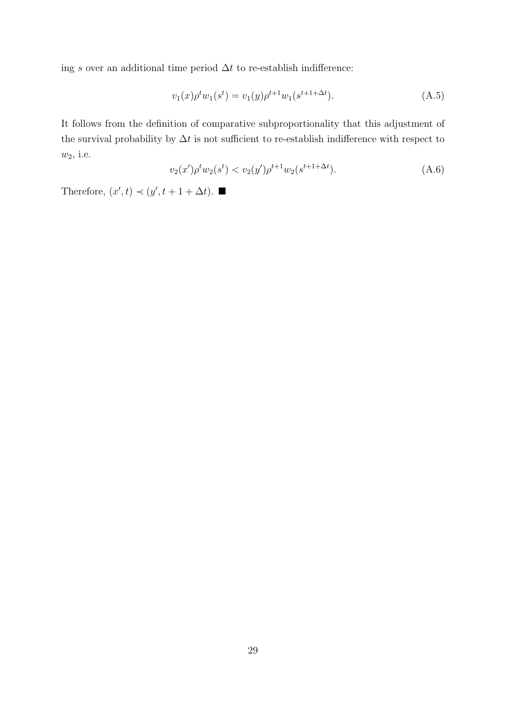ing s over an additional time period  $\Delta t$  to re-establish indifference:

$$
v_1(x)\rho^t w_1(s^t) = v_1(y)\rho^{t+1} w_1(s^{t+1+\Delta t}).
$$
\n(A.5)

It follows from the definition of comparative subproportionality that this adjustment of the survival probability by  $\Delta t$  is not sufficient to re-establish indifference with respect to  $w_2$ , i.e.

$$
v_2(x')\rho^t w_2(s^t) < v_2(y')\rho^{t+1} w_2(s^{t+1+\Delta t}).\tag{A.6}
$$

Therefore,  $(x', t) \prec (y', t + 1 + \Delta t)$ .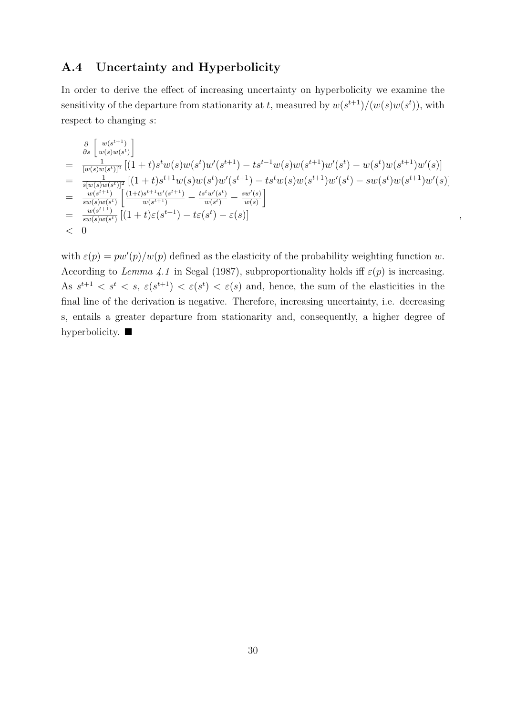#### A.4 Uncertainty and Hyperbolicity

In order to derive the effect of increasing uncertainty on hyperbolicity we examine the sensitivity of the departure from stationarity at t, measured by  $w(s^{t+1})/(w(s)w(s^t))$ , with respect to changing s:

$$
\begin{split}\n&= \frac{\frac{\partial}{\partial s} \left[ \frac{w(s^{t+1})}{w(s)w(s^t)} \right]}{[w(s)w(s^t)]^2} \left[ (1+t)s^tw(s)w(s^t)w'(s^{t+1}) - ts^{t-1}w(s)w(s^{t+1})w'(s^t) - w(s^t)w(s^{t+1})w'(s) \right] \\
&= \frac{1}{s[w(s)w(s^t)]^2} \left[ (1+t)s^{t+1}w(s)w(s^t)w'(s^{t+1}) - ts^tw(s)w(s^{t+1})w'(s^t) - sw(s^t)w(s^{t+1})w'(s) \right] \\
&= \frac{w(s^{t+1})}{sw(s)w(s^t)} \left[ \frac{(1+t)s^{t+1}w'(s^{t+1})}{w(s^{t+1})} - \frac{ts^tw'(s^t)}{w(s^t)} - \frac{sw'(s)}{w(s)} \right] \\
&= \frac{w(s^{t+1})}{sw(s)w(s^t)} \left[ (1+t)\varepsilon(s^{t+1}) - t\varepsilon(s^t) - \varepsilon(s) \right] \\
&< 0\n\end{split}
$$

with  $\varepsilon(p) = pw'(p)/w(p)$  defined as the elasticity of the probability weighting function w. According to Lemma 4.1 in Segal (1987), subproportionality holds iff  $\varepsilon(p)$  is increasing. As  $s^{t+1} < s^t < s$ ,  $\varepsilon(s^{t+1}) < \varepsilon(s^t) < \varepsilon(s)$  and, hence, the sum of the elasticities in the final line of the derivation is negative. Therefore, increasing uncertainty, i.e. decreasing s, entails a greater departure from stationarity and, consequently, a higher degree of hyperbolicity.  $\blacksquare$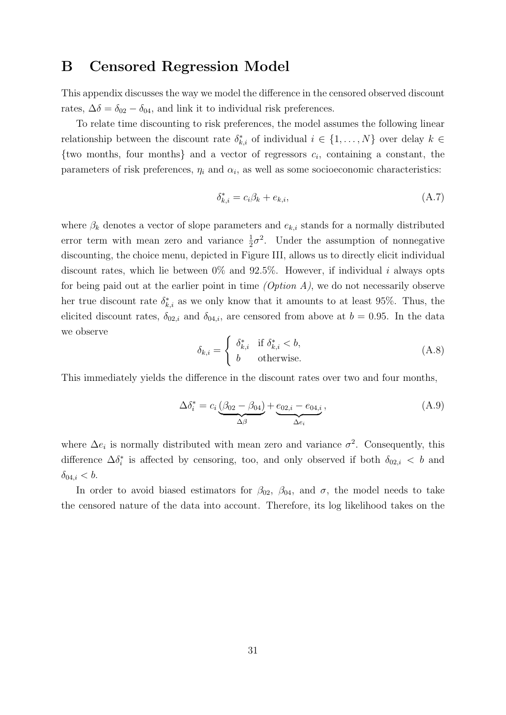## B Censored Regression Model

This appendix discusses the way we model the difference in the censored observed discount rates,  $\Delta \delta = \delta_{02} - \delta_{04}$ , and link it to individual risk preferences.

To relate time discounting to risk preferences, the model assumes the following linear relationship between the discount rate  $\delta_{k,i}^*$  of individual  $i \in \{1, ..., N\}$  over delay  $k \in$  $\{two months, four months\}$  and a vector of regressors  $c_i$ , containing a constant, the parameters of risk preferences,  $\eta_i$  and  $\alpha_i$ , as well as some socioeconomic characteristics:

$$
\delta_{k,i}^* = c_i \beta_k + e_{k,i},\tag{A.7}
$$

where  $\beta_k$  denotes a vector of slope parameters and  $e_{k,i}$  stands for a normally distributed error term with mean zero and variance  $\frac{1}{2}\sigma^2$ . Under the assumption of nonnegative discounting, the choice menu, depicted in Figure III, allows us to directly elicit individual discount rates, which lie between  $0\%$  and  $92.5\%$ . However, if individual i always opts for being paid out at the earlier point in time  $(Option A)$ , we do not necessarily observe her true discount rate  $\delta_{k,i}^*$  as we only know that it amounts to at least 95%. Thus, the elicited discount rates,  $\delta_{02,i}$  and  $\delta_{04,i}$ , are censored from above at  $b = 0.95$ . In the data we observe

$$
\delta_{k,i} = \begin{cases} \delta_{k,i}^* & \text{if } \delta_{k,i}^* < b, \\ b & \text{otherwise.} \end{cases}
$$
 (A.8)

This immediately yields the difference in the discount rates over two and four months,

$$
\Delta \delta_i^* = c_i \underbrace{(\beta_{02} - \beta_{04})}_{\Delta \beta} + \underbrace{e_{02,i} - e_{04,i}}_{\Delta e_i},
$$
\n(A.9)

where  $\Delta e_i$  is normally distributed with mean zero and variance  $\sigma^2$ . Consequently, this difference  $\Delta \delta_i^*$  is affected by censoring, too, and only observed if both  $\delta_{02,i} < b$  and  $\delta_{04,i} < b.$ 

In order to avoid biased estimators for  $\beta_{02}$ ,  $\beta_{04}$ , and  $\sigma$ , the model needs to take the censored nature of the data into account. Therefore, its log likelihood takes on the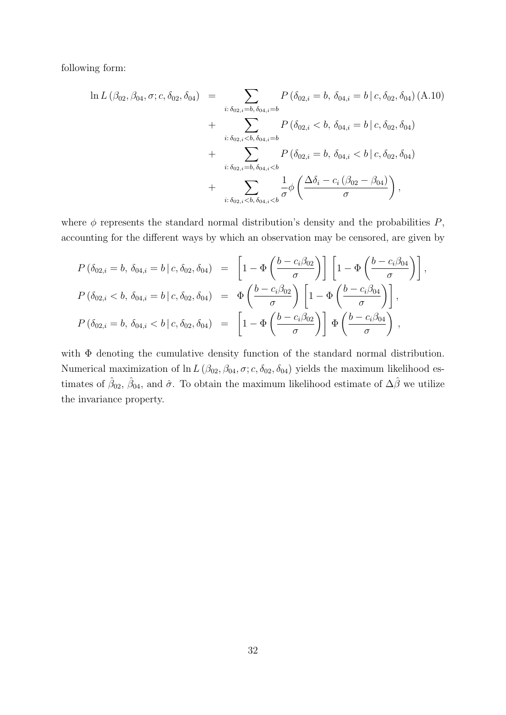following form:

$$
\ln L(\beta_{02}, \beta_{04}, \sigma; c, \delta_{02}, \delta_{04}) = \sum_{i: \delta_{02, i} = b, \delta_{04, i} = b} P(\delta_{02, i} = b, \delta_{04, i} = b | c, \delta_{02}, \delta_{04}) (A.10)
$$
  
+ 
$$
\sum_{i: \delta_{02, i} < b, \delta_{04, i} = b} P(\delta_{02, i} < b, \delta_{04, i} = b | c, \delta_{02}, \delta_{04})
$$
  
+ 
$$
\sum_{i: \delta_{02, i} = b, \delta_{04, i} < b} P(\delta_{02, i} = b, \delta_{04, i} < b | c, \delta_{02}, \delta_{04})
$$
  
+ 
$$
\sum_{i: \delta_{02, i} < b, \delta_{04, i} < b} \frac{1}{\sigma} \phi \left( \frac{\Delta \delta_i - c_i (\beta_{02} - \beta_{04})}{\sigma} \right),
$$

where  $\phi$  represents the standard normal distribution's density and the probabilities  $P$ , accounting for the different ways by which an observation may be censored, are given by

$$
P(\delta_{02,i} = b, \delta_{04,i} = b | c, \delta_{02}, \delta_{04}) = \left[1 - \Phi\left(\frac{b - c_i \beta_{02}}{\sigma}\right)\right] \left[1 - \Phi\left(\frac{b - c_i \beta_{04}}{\sigma}\right)\right],
$$
  
\n
$$
P(\delta_{02,i} < b, \delta_{04,i} = b | c, \delta_{02}, \delta_{04}) = \Phi\left(\frac{b - c_i \beta_{02}}{\sigma}\right) \left[1 - \Phi\left(\frac{b - c_i \beta_{04}}{\sigma}\right)\right],
$$
  
\n
$$
P(\delta_{02,i} = b, \delta_{04,i} < b | c, \delta_{02}, \delta_{04}) = \left[1 - \Phi\left(\frac{b - c_i \beta_{02}}{\sigma}\right)\right] \Phi\left(\frac{b - c_i \beta_{04}}{\sigma}\right),
$$

with  $\Phi$  denoting the cumulative density function of the standard normal distribution. Numerical maximization of ln  $L(\beta_{02}, \beta_{04}, \sigma; c, \delta_{02}, \delta_{04})$  yields the maximum likelihood estimates of  $\hat{\beta}_{02}$ ,  $\hat{\beta}_{04}$ , and  $\hat{\sigma}$ . To obtain the maximum likelihood estimate of  $\Delta\hat{\beta}$  we utilize the invariance property.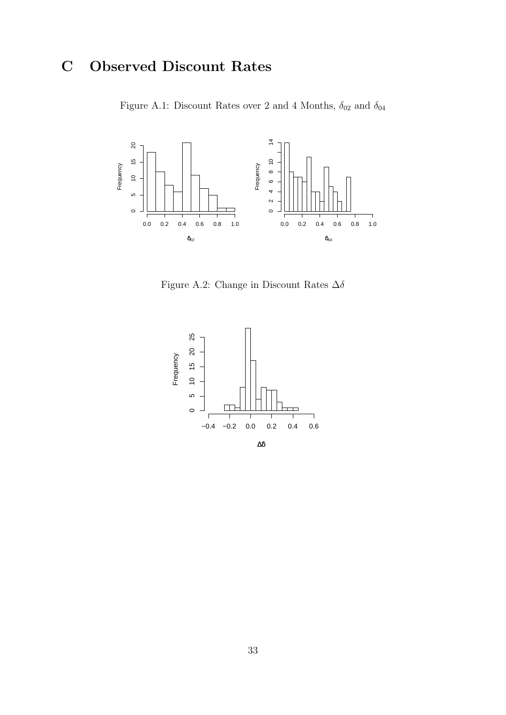## C Observed Discount Rates

Figure A.1: Discount Rates over 2 and 4 Months,  $\delta_{02}$  and  $\delta_{04}$ 



Figure A.2: Change in Discount Rates  $\Delta\delta$ 

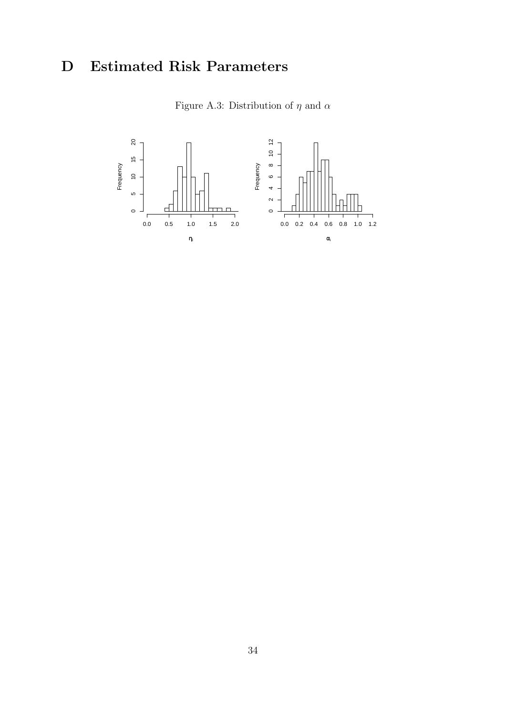## D Estimated Risk Parameters

Figure A.3: Distribution of  $\eta$  and  $\alpha$ 

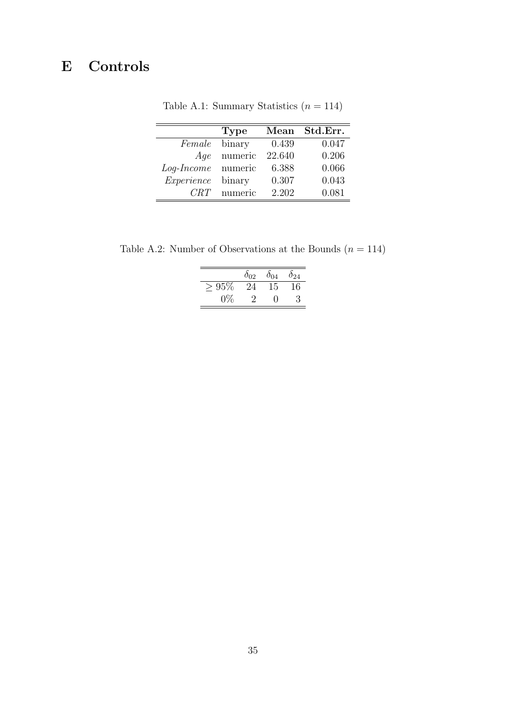## E Controls

|                    | <b>Type</b> | Mean   | Std.Err. |
|--------------------|-------------|--------|----------|
| Female             | binary      | 0.439  | 0.047    |
| Age                | numeric     | 22.640 | 0.206    |
| Log-Income numeric |             | 6.388  | 0.066    |
| Experience         | binary      | 0.307  | 0.043    |
| CRT                | numeric     | 2.202  | 0.081    |

Table A.1: Summary Statistics  $(n = 114)$ 

Table A.2: Number of Observations at the Bounds  $(n=114)$ 

|             | $\delta_{02}$ | $\delta_{04}$ | $\delta_{24}$ |
|-------------|---------------|---------------|---------------|
| $95\%$<br>╱ | '≀⊿           | 15            | 16            |
| $0\%$       |               |               | 3             |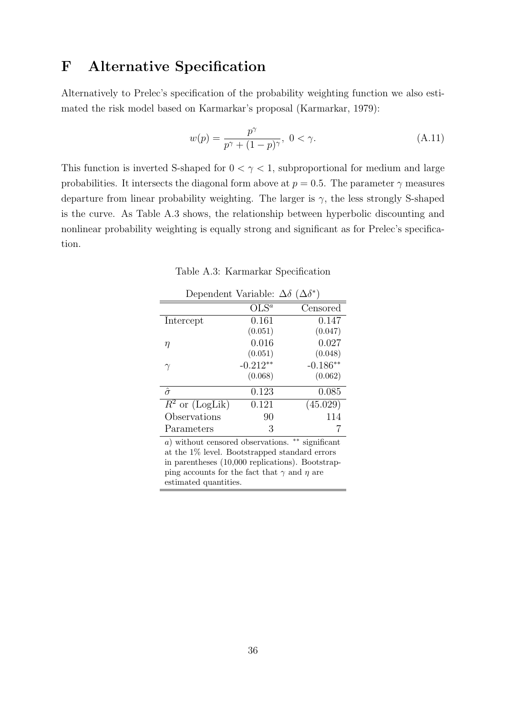## F Alternative Specification

Alternatively to Prelec's specification of the probability weighting function we also estimated the risk model based on Karmarkar's proposal (Karmarkar, 1979):

$$
w(p) = \frac{p^{\gamma}}{p^{\gamma} + (1 - p)^{\gamma}}, \ 0 < \gamma. \tag{A.11}
$$

This function is inverted S-shaped for  $0 < \gamma < 1$ , subproportional for medium and large probabilities. It intersects the diagonal form above at  $p = 0.5$ . The parameter  $\gamma$  measures departure from linear probability weighting. The larger is  $\gamma$ , the less strongly S-shaped is the curve. As Table A.3 shows, the relationship between hyperbolic discounting and nonlinear probability weighting is equally strong and significant as for Prelec's specification.

Table A.3: Karmarkar Specification

| Dependent Variable: $\Delta \delta$ ( $\Delta \delta^*$ ) |            |            |
|-----------------------------------------------------------|------------|------------|
|                                                           | $OLS^a$    | Censored   |
| Intercept                                                 | 0.161      | 0.147      |
|                                                           | (0.051)    | (0.047)    |
| η                                                         | 0.016      | 0.027      |
|                                                           | (0.051)    | (0.048)    |
| $\gamma$                                                  | $-0.212**$ | $-0.186**$ |
|                                                           | (0.068)    | (0.062)    |
| $\hat{\sigma}$                                            | 0.123      | 0.085      |
| $R^2$ or (LogLik)                                         | 0.121      | (45.029)   |
| Observations                                              | 90         | 114        |
| Parameters                                                | 3          |            |

a) without censored observations. ∗∗ significant at the 1% level. Bootstrapped standard errors in parentheses (10,000 replications). Bootstrapping accounts for the fact that  $\gamma$  and  $\eta$  are estimated quantities.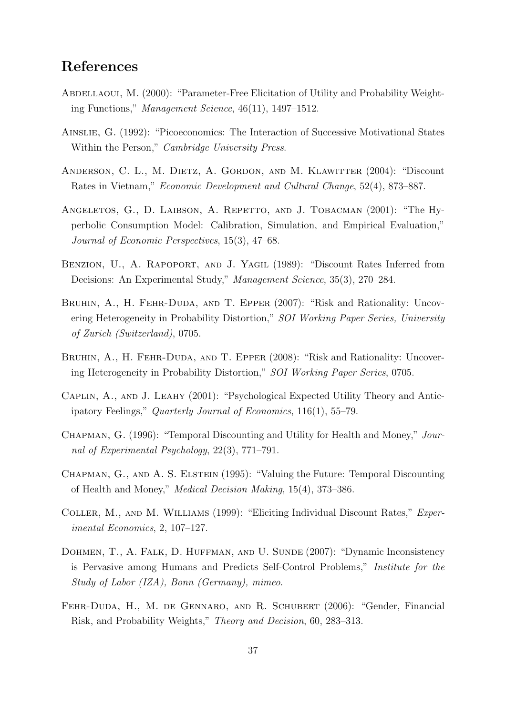## References

- ABDELLAOUI, M. (2000): "Parameter-Free Elicitation of Utility and Probability Weighting Functions," Management Science, 46(11), 1497–1512.
- Ainslie, G. (1992): "Picoeconomics: The Interaction of Successive Motivational States Within the Person," Cambridge University Press.
- ANDERSON, C. L., M. DIETZ, A. GORDON, AND M. KLAWITTER (2004): "Discount Rates in Vietnam," Economic Development and Cultural Change, 52(4), 873–887.
- ANGELETOS, G., D. LAIBSON, A. REPETTO, AND J. TOBACMAN (2001): "The Hyperbolic Consumption Model: Calibration, Simulation, and Empirical Evaluation," Journal of Economic Perspectives, 15(3), 47–68.
- BENZION, U., A. RAPOPORT, AND J. YAGIL (1989): "Discount Rates Inferred from Decisions: An Experimental Study," Management Science, 35(3), 270–284.
- BRUHIN, A., H. FEHR-DUDA, AND T. EPPER (2007): "Risk and Rationality: Uncovering Heterogeneity in Probability Distortion," SOI Working Paper Series, University of Zurich (Switzerland), 0705.
- BRUHIN, A., H. FEHR-DUDA, AND T. EPPER (2008): "Risk and Rationality: Uncovering Heterogeneity in Probability Distortion," SOI Working Paper Series, 0705.
- Caplin, A., and J. Leahy (2001): "Psychological Expected Utility Theory and Anticipatory Feelings," Quarterly Journal of Economics, 116(1), 55–79.
- CHAPMAN, G. (1996): "Temporal Discounting and Utility for Health and Money," Journal of Experimental Psychology, 22(3), 771–791.
- CHAPMAN, G., AND A. S. ELSTEIN (1995): "Valuing the Future: Temporal Discounting of Health and Money," Medical Decision Making, 15(4), 373–386.
- COLLER, M., AND M. WILLIAMS (1999): "Eliciting Individual Discount Rates," Experimental Economics, 2, 107–127.
- DOHMEN, T., A. FALK, D. HUFFMAN, AND U. SUNDE (2007): "Dynamic Inconsistency is Pervasive among Humans and Predicts Self-Control Problems," Institute for the Study of Labor (IZA), Bonn (Germany), mimeo.
- Fehr-Duda, H., M. de Gennaro, and R. Schubert (2006): "Gender, Financial Risk, and Probability Weights," Theory and Decision, 60, 283–313.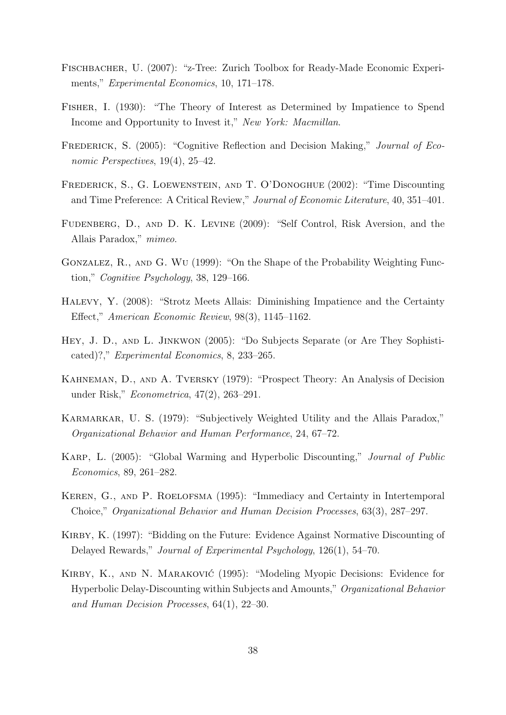- Fischbacher, U. (2007): "z-Tree: Zurich Toolbox for Ready-Made Economic Experiments," Experimental Economics, 10, 171–178.
- Fisher, I. (1930): "The Theory of Interest as Determined by Impatience to Spend Income and Opportunity to Invest it," New York: Macmillan.
- FREDERICK, S. (2005): "Cognitive Reflection and Decision Making," *Journal of Eco*nomic Perspectives, 19(4), 25–42.
- Frederick, S., G. Loewenstein, and T. O'Donoghue (2002): "Time Discounting and Time Preference: A Critical Review," Journal of Economic Literature, 40, 351–401.
- Fudenberg, D., and D. K. Levine (2009): "Self Control, Risk Aversion, and the Allais Paradox," mimeo.
- Gonzalez, R., and G. Wu (1999): "On the Shape of the Probability Weighting Function," Cognitive Psychology, 38, 129–166.
- Halevy, Y. (2008): "Strotz Meets Allais: Diminishing Impatience and the Certainty Effect," American Economic Review, 98(3), 1145–1162.
- Hey, J. D., and L. Jinkwon (2005): "Do Subjects Separate (or Are They Sophisticated)?," Experimental Economics, 8, 233–265.
- Kahneman, D., and A. Tversky (1979): "Prospect Theory: An Analysis of Decision under Risk," Econometrica, 47(2), 263–291.
- Karmarkar, U. S. (1979): "Subjectively Weighted Utility and the Allais Paradox," Organizational Behavior and Human Performance, 24, 67–72.
- Karp, L. (2005): "Global Warming and Hyperbolic Discounting," Journal of Public Economics, 89, 261–282.
- Keren, G., and P. Roelofsma (1995): "Immediacy and Certainty in Intertemporal Choice," Organizational Behavior and Human Decision Processes, 63(3), 287–297.
- KIRBY, K. (1997): "Bidding on the Future: Evidence Against Normative Discounting of Delayed Rewards," Journal of Experimental Psychology, 126(1), 54–70.
- Kirby, K., and N. Marakovic´ (1995): "Modeling Myopic Decisions: Evidence for Hyperbolic Delay-Discounting within Subjects and Amounts," Organizational Behavior and Human Decision Processes, 64(1), 22–30.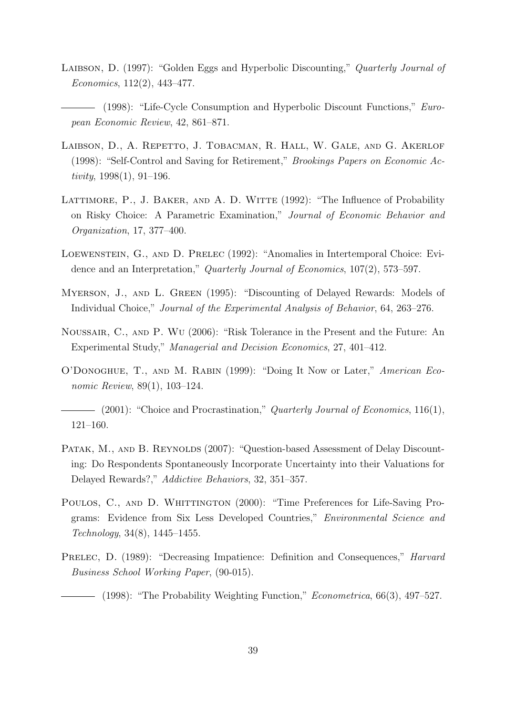- LAIBSON, D. (1997): "Golden Eggs and Hyperbolic Discounting," Quarterly Journal of Economics, 112(2), 443–477.
- (1998): "Life-Cycle Consumption and Hyperbolic Discount Functions," European Economic Review, 42, 861–871.
- Laibson, D., A. Repetto, J. Tobacman, R. Hall, W. Gale, and G. Akerlof (1998): "Self-Control and Saving for Retirement," Brookings Papers on Economic Activity,  $1998(1)$ ,  $91-196$ .
- LATTIMORE, P., J. BAKER, AND A. D. WITTE (1992): "The Influence of Probability on Risky Choice: A Parametric Examination," Journal of Economic Behavior and Organization, 17, 377–400.
- Loewenstein, G., and D. Prelec (1992): "Anomalies in Intertemporal Choice: Evidence and an Interpretation," Quarterly Journal of Economics, 107(2), 573–597.
- Myerson, J., and L. Green (1995): "Discounting of Delayed Rewards: Models of Individual Choice," Journal of the Experimental Analysis of Behavior, 64, 263–276.
- Noussair, C., and P. Wu (2006): "Risk Tolerance in the Present and the Future: An Experimental Study," Managerial and Decision Economics, 27, 401–412.
- O'Donoghue, T., and M. Rabin (1999): "Doing It Now or Later," American Economic Review, 89(1), 103–124.
- $\qquad \qquad (2001)$ : "Choice and Procrastination," Quarterly Journal of Economics, 116(1), 121–160.
- PATAK, M., AND B. REYNOLDS (2007): "Question-based Assessment of Delay Discounting: Do Respondents Spontaneously Incorporate Uncertainty into their Valuations for Delayed Rewards?," Addictive Behaviors, 32, 351–357.
- POULOS, C., AND D. WHITTINGTON (2000): "Time Preferences for Life-Saving Programs: Evidence from Six Less Developed Countries," Environmental Science and Technology, 34(8), 1445–1455.
- PRELEC, D. (1989): "Decreasing Impatience: Definition and Consequences," *Harvard* Business School Working Paper, (90-015).

(1998): "The Probability Weighting Function," *Econometrica*, 66(3), 497–527.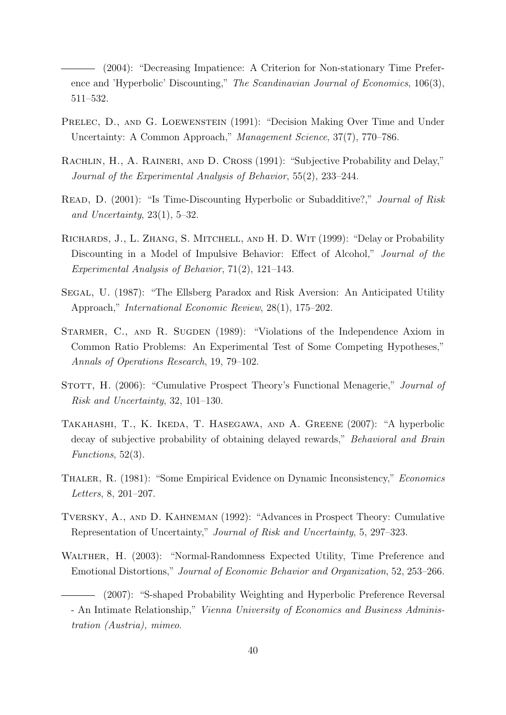(2004): "Decreasing Impatience: A Criterion for Non-stationary Time Preference and 'Hyperbolic' Discounting," The Scandinavian Journal of Economics, 106(3), 511–532.

- PRELEC, D., AND G. LOEWENSTEIN (1991): "Decision Making Over Time and Under Uncertainty: A Common Approach," Management Science, 37(7), 770–786.
- RACHLIN, H., A. RAINERI, AND D. CROSS (1991): "Subjective Probability and Delay," Journal of the Experimental Analysis of Behavior, 55(2), 233–244.
- READ, D. (2001): "Is Time-Discounting Hyperbolic or Subadditive?," *Journal of Risk* and Uncertainty,  $23(1)$ ,  $5-32$ .
- RICHARDS, J., L. ZHANG, S. MITCHELL, AND H. D. WIT (1999): "Delay or Probability Discounting in a Model of Impulsive Behavior: Effect of Alcohol," *Journal of the* Experimental Analysis of Behavior, 71(2), 121–143.
- Segal, U. (1987): "The Ellsberg Paradox and Risk Aversion: An Anticipated Utility Approach," International Economic Review, 28(1), 175–202.
- STARMER, C., AND R. SUGDEN (1989): "Violations of the Independence Axiom in Common Ratio Problems: An Experimental Test of Some Competing Hypotheses," Annals of Operations Research, 19, 79–102.
- STOTT, H. (2006): "Cumulative Prospect Theory's Functional Menagerie," *Journal of* Risk and Uncertainty, 32, 101–130.
- Takahashi, T., K. Ikeda, T. Hasegawa, and A. Greene (2007): "A hyperbolic decay of subjective probability of obtaining delayed rewards," Behavioral and Brain Functions, 52(3).
- Thaler, R. (1981): "Some Empirical Evidence on Dynamic Inconsistency," Economics Letters, 8, 201–207.
- Tversky, A., and D. Kahneman (1992): "Advances in Prospect Theory: Cumulative Representation of Uncertainty," Journal of Risk and Uncertainty, 5, 297–323.
- WALTHER, H. (2003): "Normal-Randomness Expected Utility, Time Preference and Emotional Distortions," Journal of Economic Behavior and Organization, 52, 253–266.

<sup>(2007): &</sup>quot;S-shaped Probability Weighting and Hyperbolic Preference Reversal - An Intimate Relationship," Vienna University of Economics and Business Administration (Austria), mimeo.